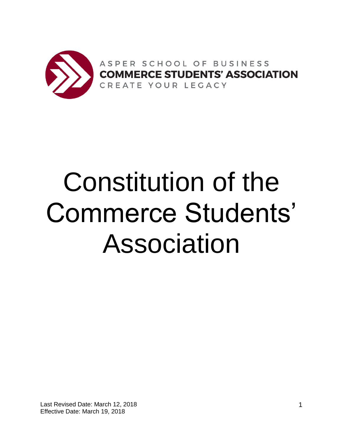

# Constitution of the Commerce Students' Association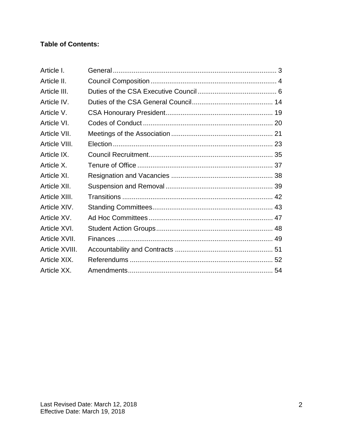# **Table of Contents:**

| Article I.     |  |
|----------------|--|
| Article II.    |  |
| Article III.   |  |
| Article IV.    |  |
| Article V.     |  |
| Article VI.    |  |
| Article VII.   |  |
| Article VIII.  |  |
| Article IX.    |  |
| Article X.     |  |
| Article XI.    |  |
| Article XII.   |  |
| Article XIII.  |  |
| Article XIV.   |  |
| Article XV.    |  |
| Article XVI.   |  |
| Article XVII.  |  |
| Article XVIII. |  |
| Article XIX.   |  |
| Article XX.    |  |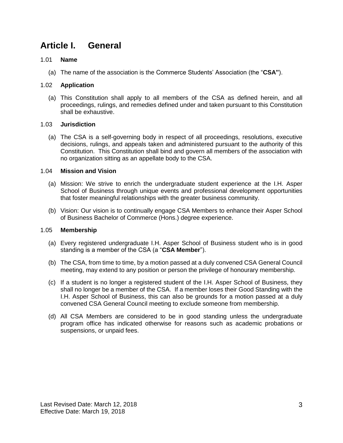# **Article I. General**

# 1.01 **Name**

(a) The name of the association is the Commerce Students' Association (the "**CSA"**).

# 1.02 **Application**

(a) This Constitution shall apply to all members of the CSA as defined herein, and all proceedings, rulings, and remedies defined under and taken pursuant to this Constitution shall be exhaustive.

# 1.03 **Jurisdiction**

(a) The CSA is a self-governing body in respect of all proceedings, resolutions, executive decisions, rulings, and appeals taken and administered pursuant to the authority of this Constitution. This Constitution shall bind and govern all members of the association with no organization sitting as an appellate body to the CSA.

# 1.04 **Mission and Vision**

- (a) Mission: We strive to enrich the undergraduate student experience at the I.H. Asper School of Business through unique events and professional development opportunities that foster meaningful relationships with the greater business community.
- (b) Vision: Our vision is to continually engage CSA Members to enhance their Asper School of Business Bachelor of Commerce (Hons.) degree experience.

# 1.05 **Membership**

- (a) Every registered undergraduate I.H. Asper School of Business student who is in good standing is a member of the CSA (a "**CSA Member**").
- (b) The CSA, from time to time, by a motion passed at a duly convened CSA General Council meeting, may extend to any position or person the privilege of honourary membership.
- (c) If a student is no longer a registered student of the I.H. Asper School of Business, they shall no longer be a member of the CSA. If a member loses their Good Standing with the I.H. Asper School of Business, this can also be grounds for a motion passed at a duly convened CSA General Council meeting to exclude someone from membership.
- (d) All CSA Members are considered to be in good standing unless the undergraduate program office has indicated otherwise for reasons such as academic probations or suspensions, or unpaid fees.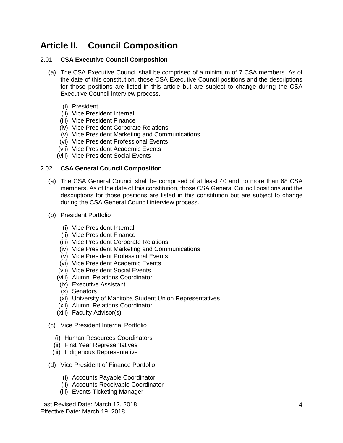# **Article II. Council Composition**

# 2.01 **CSA Executive Council Composition**

- (a) The CSA Executive Council shall be comprised of a minimum of 7 CSA members. As of the date of this constitution, those CSA Executive Council positions and the descriptions for those positions are listed in this article but are subject to change during the CSA Executive Council interview process.
	- (i) President
	- (ii) Vice President Internal
	- (iii) Vice President Finance
	- (iv) Vice President Corporate Relations
	- (v) Vice President Marketing and Communications
	- (vi) Vice President Professional Events
	- (vii) Vice President Academic Events
	- (viii) Vice President Social Events

#### 2.02 **CSA General Council Composition**

- (a) The CSA General Council shall be comprised of at least 40 and no more than 68 CSA members. As of the date of this constitution, those CSA General Council positions and the descriptions for those positions are listed in this constitution but are subject to change during the CSA General Council interview process.
- (b) President Portfolio
	- (i) Vice President Internal
	- (ii) Vice President Finance
	- (iii) Vice President Corporate Relations
	- (iv) Vice President Marketing and Communications
	- (v) Vice President Professional Events
	- (vi) Vice President Academic Events
	- (vii) Vice President Social Events
	- (viii) Alumni Relations Coordinator
	- (ix) Executive Assistant
	- (x) Senators
	- (xi) University of Manitoba Student Union Representatives
	- (xii) Alumni Relations Coordinator
	- (xiii) Faculty Advisor(s)
- (c) Vice President Internal Portfolio
	- (i) Human Resources Coordinators
	- (ii) First Year Representatives
	- (iii) Indigenous Representative
- (d) Vice President of Finance Portfolio
	- (i) Accounts Payable Coordinator
	- (ii) Accounts Receivable Coordinator
	- (iii) Events Ticketing Manager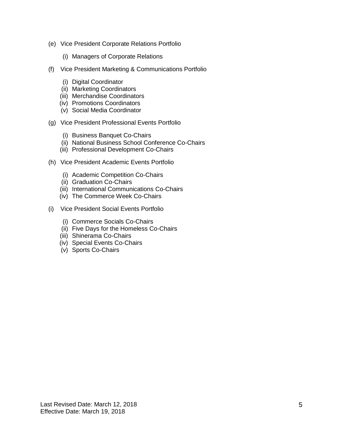- (e) Vice President Corporate Relations Portfolio
	- (i) Managers of Corporate Relations
- (f) Vice President Marketing & Communications Portfolio
	- (i) Digital Coordinator
	- (ii) Marketing Coordinators
	- (iii) Merchandise Coordinators
	- (iv) Promotions Coordinators
	- (v) Social Media Coordinator
- (g) Vice President Professional Events Portfolio
	- (i) Business Banquet Co-Chairs
	- (ii) National Business School Conference Co-Chairs
	- (iii) Professional Development Co-Chairs
- (h) Vice President Academic Events Portfolio
	- (i) Academic Competition Co-Chairs
	- (ii) Graduation Co-Chairs
	- (iii) International Communications Co-Chairs
	- (iv) The Commerce Week Co-Chairs
- (i) Vice President Social Events Portfolio
	- (i) Commerce Socials Co-Chairs
	- (ii) Five Days for the Homeless Co-Chairs
	- (iii) Shinerama Co-Chairs
	- (iv) Special Events Co-Chairs
	- (v) Sports Co-Chairs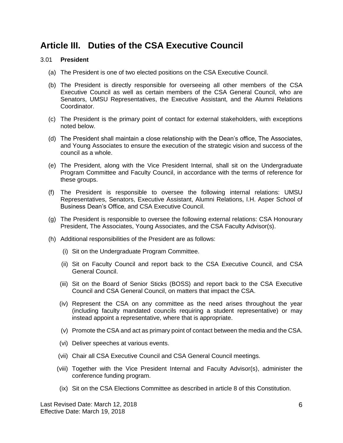# **Article III. Duties of the CSA Executive Council**

#### 3.01 **President**

- (a) The President is one of two elected positions on the CSA Executive Council.
- (b) The President is directly responsible for overseeing all other members of the CSA Executive Council as well as certain members of the CSA General Council, who are Senators, UMSU Representatives, the Executive Assistant, and the Alumni Relations Coordinator.
- (c) The President is the primary point of contact for external stakeholders, with exceptions noted below.
- (d) The President shall maintain a close relationship with the Dean's office, The Associates, and Young Associates to ensure the execution of the strategic vision and success of the council as a whole.
- (e) The President, along with the Vice President Internal, shall sit on the Undergraduate Program Committee and Faculty Council, in accordance with the terms of reference for these groups.
- (f) The President is responsible to oversee the following internal relations: UMSU Representatives, Senators, Executive Assistant, Alumni Relations, I.H. Asper School of Business Dean's Office, and CSA Executive Council.
- (g) The President is responsible to oversee the following external relations: CSA Honourary President, The Associates, Young Associates, and the CSA Faculty Advisor(s).
- (h) Additional responsibilities of the President are as follows:
	- (i) Sit on the Undergraduate Program Committee.
	- (ii) Sit on Faculty Council and report back to the CSA Executive Council, and CSA General Council.
	- (iii) Sit on the Board of Senior Sticks (BOSS) and report back to the CSA Executive Council and CSA General Council, on matters that impact the CSA.
	- (iv) Represent the CSA on any committee as the need arises throughout the year (including faculty mandated councils requiring a student representative) or may instead appoint a representative, where that is appropriate.
	- (v) Promote the CSA and act as primary point of contact between the media and the CSA.
	- (vi) Deliver speeches at various events.
	- (vii) Chair all CSA Executive Council and CSA General Council meetings.
	- (viii) Together with the Vice President Internal and Faculty Advisor(s), administer the conference funding program.
	- (ix) Sit on the CSA Elections Committee as described in article 8 of this Constitution.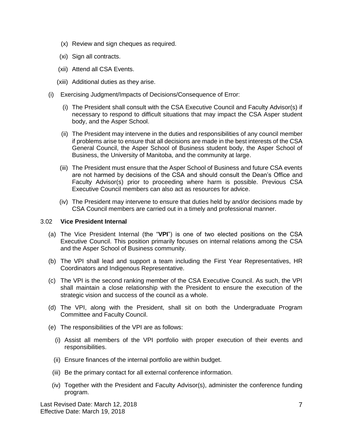- (x) Review and sign cheques as required.
- (xi) Sign all contracts.
- (xii) Attend all CSA Events.
- (xiii) Additional duties as they arise.
- (i) Exercising Judgment/Impacts of Decisions/Consequence of Error:
	- (i) The President shall consult with the CSA Executive Council and Faculty Advisor(s) if necessary to respond to difficult situations that may impact the CSA Asper student body, and the Asper School.
	- (ii) The President may intervene in the duties and responsibilities of any council member if problems arise to ensure that all decisions are made in the best interests of the CSA General Council, the Asper School of Business student body, the Asper School of Business, the University of Manitoba, and the community at large.
	- (iii) The President must ensure that the Asper School of Business and future CSA events are not harmed by decisions of the CSA and should consult the Dean's Office and Faculty Advisor(s) prior to proceeding where harm is possible. Previous CSA Executive Council members can also act as resources for advice.
	- (iv) The President may intervene to ensure that duties held by and/or decisions made by CSA Council members are carried out in a timely and professional manner.

#### 3.02 **Vice President Internal**

- (a) The Vice President Internal (the "**VPI**") is one of two elected positions on the CSA Executive Council. This position primarily focuses on internal relations among the CSA and the Asper School of Business community.
- (b) The VPI shall lead and support a team including the First Year Representatives, HR Coordinators and Indigenous Representative.
- (c) The VPI is the second ranking member of the CSA Executive Council. As such, the VPI shall maintain a close relationship with the President to ensure the execution of the strategic vision and success of the council as a whole.
- (d) The VPI, along with the President, shall sit on both the Undergraduate Program Committee and Faculty Council.
- (e) The responsibilities of the VPI are as follows:
	- (i) Assist all members of the VPI portfolio with proper execution of their events and responsibilities.
	- (ii) Ensure finances of the internal portfolio are within budget.
	- (iii) Be the primary contact for all external conference information.
	- (iv) Together with the President and Faculty Advisor(s), administer the conference funding program.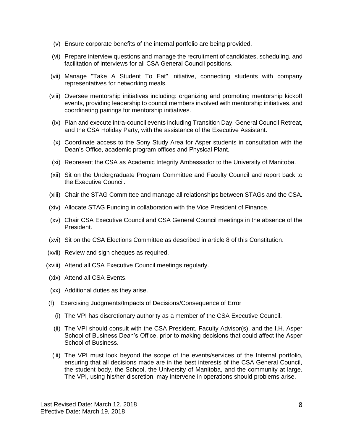- (v) Ensure corporate benefits of the internal portfolio are being provided.
- (vi) Prepare interview questions and manage the recruitment of candidates, scheduling, and facilitation of interviews for all CSA General Council positions.
- (vii) Manage "Take A Student To Eat" initiative, connecting students with company representatives for networking meals.
- (viii) Oversee mentorship initiatives including: organizing and promoting mentorship kickoff events, providing leadership to council members involved with mentorship initiatives, and coordinating pairings for mentorship initiatives.
- (ix) Plan and execute intra-council events including Transition Day, General Council Retreat, and the CSA Holiday Party, with the assistance of the Executive Assistant.
- (x) Coordinate access to the Sony Study Area for Asper students in consultation with the Dean's Office, academic program offices and Physical Plant.
- (xi) Represent the CSA as Academic Integrity Ambassador to the University of Manitoba.
- (xii) Sit on the Undergraduate Program Committee and Faculty Council and report back to the Executive Council.
- (xiii) Chair the STAG Committee and manage all relationships between STAGs and the CSA.
- (xiv) Allocate STAG Funding in collaboration with the Vice President of Finance.
- (xv) Chair CSA Executive Council and CSA General Council meetings in the absence of the President.
- (xvi) Sit on the CSA Elections Committee as described in article 8 of this Constitution.
- (xvii) Review and sign cheques as required.
- (xviii) Attend all CSA Executive Council meetings regularly.
- (xix) Attend all CSA Events.
- (xx) Additional duties as they arise.
- (f) Exercising Judgments/Impacts of Decisions/Consequence of Error
	- (i) The VPI has discretionary authority as a member of the CSA Executive Council.
	- (ii) The VPI should consult with the CSA President, Faculty Advisor(s), and the I.H. Asper School of Business Dean's Office, prior to making decisions that could affect the Asper School of Business.
	- (iii) The VPI must look beyond the scope of the events/services of the Internal portfolio, ensuring that all decisions made are in the best interests of the CSA General Council, the student body, the School, the University of Manitoba, and the community at large. The VPI, using his/her discretion, may intervene in operations should problems arise.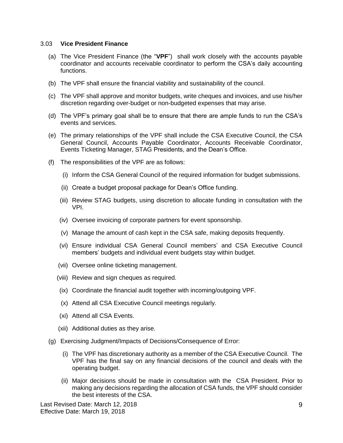#### 3.03 **Vice President Finance**

- (a) The Vice President Finance (the "**VPF**") shall work closely with the accounts payable coordinator and accounts receivable coordinator to perform the CSA's daily accounting functions.
- (b) The VPF shall ensure the financial viability and sustainability of the council.
- (c) The VPF shall approve and monitor budgets, write cheques and invoices, and use his/her discretion regarding over-budget or non-budgeted expenses that may arise.
- (d) The VPF's primary goal shall be to ensure that there are ample funds to run the CSA's events and services.
- (e) The primary relationships of the VPF shall include the CSA Executive Council, the CSA General Council, Accounts Payable Coordinator, Accounts Receivable Coordinator, Events Ticketing Manager, STAG Presidents, and the Dean's Office.
- (f) The responsibilities of the VPF are as follows:
	- (i) Inform the CSA General Council of the required information for budget submissions.
	- (ii) Create a budget proposal package for Dean's Office funding.
	- (iii) Review STAG budgets, using discretion to allocate funding in consultation with the VPI.
	- (iv) Oversee invoicing of corporate partners for event sponsorship.
	- (v) Manage the amount of cash kept in the CSA safe, making deposits frequently.
	- (vi) Ensure individual CSA General Council members' and CSA Executive Council members' budgets and individual event budgets stay within budget.
	- (vii) Oversee online ticketing management.
	- (viii) Review and sign cheques as required.
	- (ix) Coordinate the financial audit together with incoming/outgoing VPF.
	- (x) Attend all CSA Executive Council meetings regularly.
	- (xi) Attend all CSA Events.
	- (xii) Additional duties as they arise.
- (g) Exercising Judgment/Impacts of Decisions/Consequence of Error:
	- (i) The VPF has discretionary authority as a member of the CSA Executive Council. The VPF has the final say on any financial decisions of the council and deals with the operating budget.
	- (ii) Major decisions should be made in consultation with the CSA President. Prior to making any decisions regarding the allocation of CSA funds, the VPF should consider the best interests of the CSA.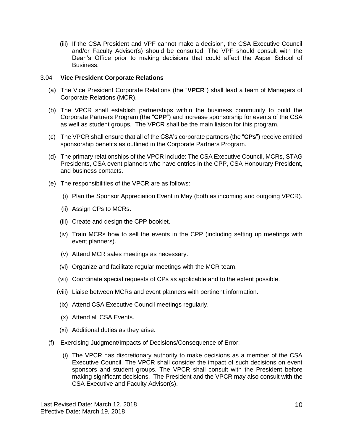(iii) If the CSA President and VPF cannot make a decision, the CSA Executive Council and/or Faculty Advisor(s) should be consulted. The VPF should consult with the Dean's Office prior to making decisions that could affect the Asper School of Business.

#### 3.04 **Vice President Corporate Relations**

- (a) The Vice President Corporate Relations (the "**VPCR**") shall lead a team of Managers of Corporate Relations (MCR).
- (b) The VPCR shall establish partnerships within the business community to build the Corporate Partners Program (the "**CPP**") and increase sponsorship for events of the CSA as well as student groups. The VPCR shall be the main liaison for this program.
- (c) The VPCR shall ensure that all of the CSA's corporate partners (the "**CPs**") receive entitled sponsorship benefits as outlined in the Corporate Partners Program.
- (d) The primary relationships of the VPCR include: The CSA Executive Council, MCRs, STAG Presidents, CSA event planners who have entries in the CPP, CSA Honourary President, and business contacts.
- (e) The responsibilities of the VPCR are as follows:
	- (i) Plan the Sponsor Appreciation Event in May (both as incoming and outgoing VPCR).
	- (ii) Assign CPs to MCRs.
	- (iii) Create and design the CPP booklet.
	- (iv) Train MCRs how to sell the events in the CPP (including setting up meetings with event planners).
	- (v) Attend MCR sales meetings as necessary.
	- (vi) Organize and facilitate regular meetings with the MCR team.
	- (vii) Coordinate special requests of CPs as applicable and to the extent possible.
	- (viii) Liaise between MCRs and event planners with pertinent information.
	- (ix) Attend CSA Executive Council meetings regularly.
	- (x) Attend all CSA Events.
	- (xi) Additional duties as they arise.
- (f) Exercising Judgment/Impacts of Decisions/Consequence of Error:
	- (i) The VPCR has discretionary authority to make decisions as a member of the CSA Executive Council. The VPCR shall consider the impact of such decisions on event sponsors and student groups. The VPCR shall consult with the President before making significant decisions. The President and the VPCR may also consult with the CSA Executive and Faculty Advisor(s).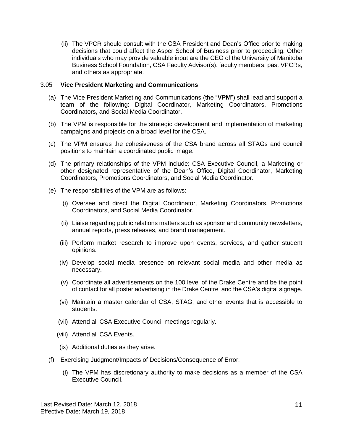(ii) The VPCR should consult with the CSA President and Dean's Office prior to making decisions that could affect the Asper School of Business prior to proceeding. Other individuals who may provide valuable input are the CEO of the University of Manitoba Business School Foundation, CSA Faculty Advisor(s), faculty members, past VPCRs, and others as appropriate.

#### 3.05 **Vice President Marketing and Communications**

- (a) The Vice President Marketing and Communications (the "**VPM**") shall lead and support a team of the following: Digital Coordinator, Marketing Coordinators, Promotions Coordinators, and Social Media Coordinator.
- (b) The VPM is responsible for the strategic development and implementation of marketing campaigns and projects on a broad level for the CSA.
- (c) The VPM ensures the cohesiveness of the CSA brand across all STAGs and council positions to maintain a coordinated public image.
- (d) The primary relationships of the VPM include: CSA Executive Council, a Marketing or other designated representative of the Dean's Office, Digital Coordinator, Marketing Coordinators, Promotions Coordinators, and Social Media Coordinator.
- (e) The responsibilities of the VPM are as follows:
	- (i) Oversee and direct the Digital Coordinator, Marketing Coordinators, Promotions Coordinators, and Social Media Coordinator.
	- (ii) Liaise regarding public relations matters such as sponsor and community newsletters, annual reports, press releases, and brand management.
	- (iii) Perform market research to improve upon events, services, and gather student opinions.
	- (iv) Develop social media presence on relevant social media and other media as necessary.
	- (v) Coordinate all advertisements on the 100 level of the Drake Centre and be the point of contact for all poster advertising in the Drake Centre and the CSA's digital signage.
	- (vi) Maintain a master calendar of CSA, STAG, and other events that is accessible to students.
	- (vii) Attend all CSA Executive Council meetings regularly.
	- (viii) Attend all CSA Events.
	- (ix) Additional duties as they arise.
- (f) Exercising Judgment/Impacts of Decisions/Consequence of Error:
	- (i) The VPM has discretionary authority to make decisions as a member of the CSA Executive Council.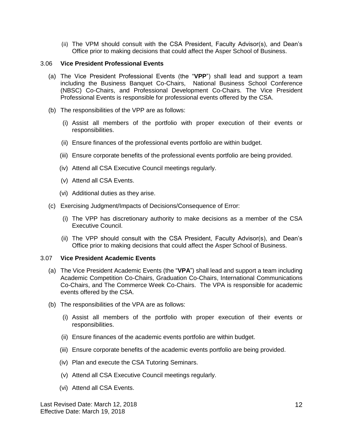(ii) The VPM should consult with the CSA President, Faculty Advisor(s), and Dean's Office prior to making decisions that could affect the Asper School of Business.

#### 3.06 **Vice President Professional Events**

- (a) The Vice President Professional Events (the "**VPP**") shall lead and support a team including the Business Banquet Co-Chairs, National Business School Conference (NBSC) Co-Chairs, and Professional Development Co-Chairs. The Vice President Professional Events is responsible for professional events offered by the CSA.
- (b) The responsibilities of the VPP are as follows:
	- (i) Assist all members of the portfolio with proper execution of their events or responsibilities.
	- (ii) Ensure finances of the professional events portfolio are within budget.
	- (iii) Ensure corporate benefits of the professional events portfolio are being provided.
	- (iv) Attend all CSA Executive Council meetings regularly.
	- (v) Attend all CSA Events.
	- (vi) Additional duties as they arise.
- (c) Exercising Judgment/Impacts of Decisions/Consequence of Error:
	- (i) The VPP has discretionary authority to make decisions as a member of the CSA Executive Council.
	- (ii) The VPP should consult with the CSA President, Faculty Advisor(s), and Dean's Office prior to making decisions that could affect the Asper School of Business.

#### 3.07 **Vice President Academic Events**

- (a) The Vice President Academic Events (the "**VPA**") shall lead and support a team including Academic Competition Co-Chairs, Graduation Co-Chairs, International Communications Co-Chairs, and The Commerce Week Co-Chairs. The VPA is responsible for academic events offered by the CSA.
- (b) The responsibilities of the VPA are as follows:
	- (i) Assist all members of the portfolio with proper execution of their events or responsibilities.
	- (ii) Ensure finances of the academic events portfolio are within budget.
	- (iii) Ensure corporate benefits of the academic events portfolio are being provided.
	- (iv) Plan and execute the CSA Tutoring Seminars.
	- (v) Attend all CSA Executive Council meetings regularly.
	- (vi) Attend all CSA Events.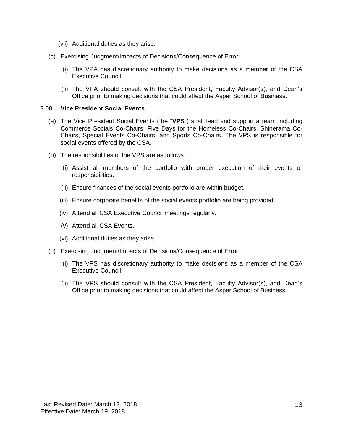- (vii) Additional duties as they arise.
- (c) Exercising Judgment/Impacts of Decisions/Consequence of Error:
	- (i) The VPA has discretionary authority to make decisions as a member of the CSA Executive Council,
	- (ii) The VPA should consult with the CSA President, Faculty Advisor(s), and Dean's Office prior to making decisions that could affect the Asper School of Business.

#### 3.08 **Vice President Social Events**

- (a) The Vice President Social Events (the "**VPS**") shall lead and support a team including Commerce Socials Co-Chairs, Five Days for the Homeless Co-Chairs, Shinerama Co-Chairs, Special Events Co-Chairs, and Sports Co-Chairs. The VPS is responsible for social events offered by the CSA.
- (b) The responsibilities of the VPS are as follows:
	- (i) Assist all members of the portfolio with proper execution of their events or responsibilities.
	- (ii) Ensure finances of the social events portfolio are within budget.
	- (iii) Ensure corporate benefits of the social events portfolio are being provided.
	- (iv) Attend all CSA Executive Council meetings regularly.
	- (v) Attend all CSA Events.
	- (vi) Additional duties as they arise.
- (c) Exercising Judgment/Impacts of Decisions/Consequence of Error:
	- (i) The VPS has discretionary authority to make decisions as a member of the CSA Executive Council.
	- (ii) The VPS should consult with the CSA President, Faculty Advisor(s), and Dean's Office prior to making decisions that could affect the Asper School of Business.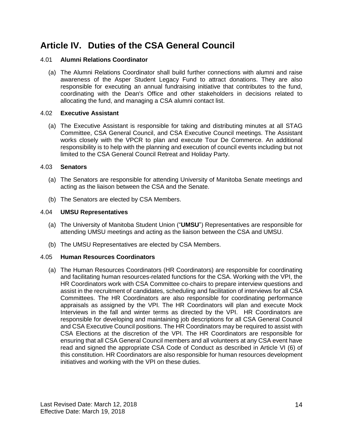# **Article IV. Duties of the CSA General Council**

# 4.01 **Alumni Relations Coordinator**

(a) The Alumni Relations Coordinator shall build further connections with alumni and raise awareness of the Asper Student Legacy Fund to attract donations. They are also responsible for executing an annual fundraising initiative that contributes to the fund, coordinating with the Dean's Office and other stakeholders in decisions related to allocating the fund, and managing a CSA alumni contact list.

# 4.02 **Executive Assistant**

(a) The Executive Assistant is responsible for taking and distributing minutes at all STAG Committee, CSA General Council, and CSA Executive Council meetings. The Assistant works closely with the VPCR to plan and execute Tour De Commerce. An additional responsibility is to help with the planning and execution of council events including but not limited to the CSA General Council Retreat and Holiday Party.

# 4.03 **Senators**

- (a) The Senators are responsible for attending University of Manitoba Senate meetings and acting as the liaison between the CSA and the Senate.
- (b) The Senators are elected by CSA Members.

# 4.04 **UMSU Representatives**

- (a) The University of Manitoba Student Union ("**UMSU**") Representatives are responsible for attending UMSU meetings and acting as the liaison between the CSA and UMSU.
- (b) The UMSU Representatives are elected by CSA Members.

# 4.05 **Human Resources Coordinators**

(a) The Human Resources Coordinators (HR Coordinators) are responsible for coordinating and facilitating human resources-related functions for the CSA. Working with the VPI, the HR Coordinators work with CSA Committee co-chairs to prepare interview questions and assist in the recruitment of candidates, scheduling and facilitation of interviews for all CSA Committees. The HR Coordinators are also responsible for coordinating performance appraisals as assigned by the VPI. The HR Coordinators will plan and execute Mock Interviews in the fall and winter terms as directed by the VPI. HR Coordinators are responsible for developing and maintaining job descriptions for all CSA General Council and CSA Executive Council positions. The HR Coordinators may be required to assist with CSA Elections at the discretion of the VPI. The HR Coordinators are responsible for ensuring that all CSA General Council members and all volunteers at any CSA event have read and signed the appropriate CSA Code of Conduct as described in Article VI (6) of this constitution. HR Coordinators are also responsible for human resources development initiatives and working with the VPI on these duties.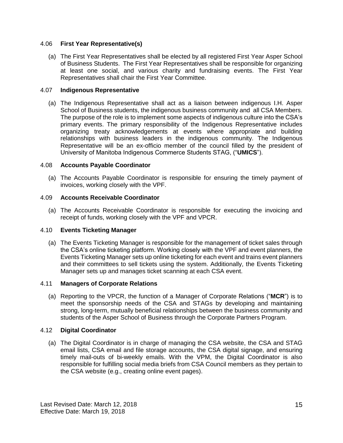# 4.06 **First Year Representative(s)**

(a) The First Year Representatives shall be elected by all registered First Year Asper School of Business Students. The First Year Representatives shall be responsible for organizing at least one social, and various charity and fundraising events. The First Year Representatives shall chair the First Year Committee.

# 4.07 **Indigenous Representative**

(a) The Indigenous Representative shall act as a liaison between indigenous I.H. Asper School of Business students, the indigenous business community and all CSA Members. The purpose of the role is to implement some aspects of indigenous culture into the CSA's primary events. The primary responsibility of the Indigenous Representative includes organizing treaty acknowledgements at events where appropriate and building relationships with business leaders in the indigenous community. The Indigenous Representative will be an ex-officio member of the council filled by the president of University of Manitoba Indigenous Commerce Students STAG, ("**UMICS**").

# 4.08 **Accounts Payable Coordinator**

(a) The Accounts Payable Coordinator is responsible for ensuring the timely payment of invoices, working closely with the VPF.

# 4.09 **Accounts Receivable Coordinator**

(a) The Accounts Receivable Coordinator is responsible for executing the invoicing and receipt of funds, working closely with the VPF and VPCR.

# 4.10 **Events Ticketing Manager**

(a) The Events Ticketing Manager is responsible for the management of ticket sales through the CSA's online ticketing platform. Working closely with the VPF and event planners, the Events Ticketing Manager sets up online ticketing for each event and trains event planners and their committees to sell tickets using the system. Additionally, the Events Ticketing Manager sets up and manages ticket scanning at each CSA event.

# 4.11 **Managers of Corporate Relations**

(a) Reporting to the VPCR, the function of a Manager of Corporate Relations ("**MCR**") is to meet the sponsorship needs of the CSA and STAGs by developing and maintaining strong, long-term, mutually beneficial relationships between the business community and students of the Asper School of Business through the Corporate Partners Program.

# 4.12 **Digital Coordinator**

(a) The Digital Coordinator is in charge of managing the CSA website, the CSA and STAG email lists, CSA email and file storage accounts, the CSA digital signage, and ensuring timely mail-outs of bi-weekly emails. With the VPM, the Digital Coordinator is also responsible for fulfilling social media briefs from CSA Council members as they pertain to the CSA website (e.g., creating online event pages).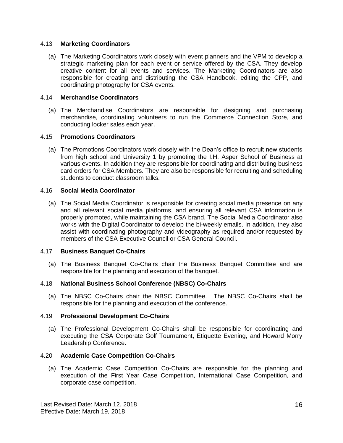# 4.13 **Marketing Coordinators**

(a) The Marketing Coordinators work closely with event planners and the VPM to develop a strategic marketing plan for each event or service offered by the CSA. They develop creative content for all events and services. The Marketing Coordinators are also responsible for creating and distributing the CSA Handbook, editing the CPP, and coordinating photography for CSA events.

#### 4.14 **Merchandise Coordinators**

(a) The Merchandise Coordinators are responsible for designing and purchasing merchandise, coordinating volunteers to run the Commerce Connection Store, and conducting locker sales each year.

#### 4.15 **Promotions Coordinators**

(a) The Promotions Coordinators work closely with the Dean's office to recruit new students from high school and University 1 by promoting the I.H. Asper School of Business at various events. In addition they are responsible for coordinating and distributing business card orders for CSA Members. They are also be responsible for recruiting and scheduling students to conduct classroom talks.

#### 4.16 **Social Media Coordinator**

(a) The Social Media Coordinator is responsible for creating social media presence on any and all relevant social media platforms, and ensuring all relevant CSA information is properly promoted, while maintaining the CSA brand. The Social Media Coordinator also works with the Digital Coordinator to develop the bi-weekly emails. In addition, they also assist with coordinating photography and videography as required and/or requested by members of the CSA Executive Council or CSA General Council.

#### 4.17 **Business Banquet Co-Chairs**

(a) The Business Banquet Co-Chairs chair the Business Banquet Committee and are responsible for the planning and execution of the banquet.

# 4.18 **National Business School Conference (NBSC) Co-Chairs**

(a) The NBSC Co-Chairs chair the NBSC Committee. The NBSC Co-Chairs shall be responsible for the planning and execution of the conference.

#### 4.19 **Professional Development Co-Chairs**

(a) The Professional Development Co-Chairs shall be responsible for coordinating and executing the CSA Corporate Golf Tournament, Etiquette Evening, and Howard Morry Leadership Conference.

#### 4.20 **Academic Case Competition Co-Chairs**

(a) The Academic Case Competition Co-Chairs are responsible for the planning and execution of the First Year Case Competition, International Case Competition, and corporate case competition.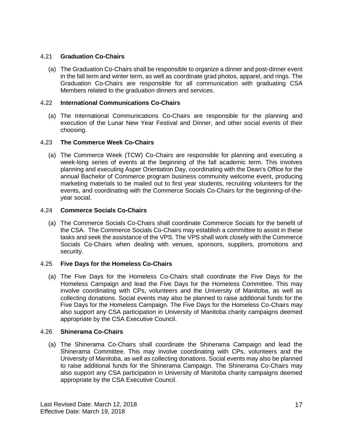# 4.21 **Graduation Co-Chairs**

(a) The Graduation Co-Chairs shall be responsible to organize a dinner and post-dinner event in the fall term and winter term, as well as coordinate grad photos, apparel, and rings. The Graduation Co-Chairs are responsible for all communication with graduating CSA Members related to the graduation dinners and services.

# 4.22 **International Communications Co-Chairs**

(a) The International Communications Co-Chairs are responsible for the planning and execution of the Lunar New Year Festival and Dinner, and other social events of their choosing.

# 4.23 **The Commerce Week Co-Chairs**

(a) The Commerce Week (TCW) Co-Chairs are responsible for planning and executing a week-long series of events at the beginning of the fall academic term. This involves planning and executing Asper Orientation Day, coordinating with the Dean's Office for the annual Bachelor of Commerce program business community welcome event, producing marketing materials to be mailed out to first year students, recruiting volunteers for the events, and coordinating with the Commerce Socials Co-Chairs for the beginning-of-theyear social.

# 4.24 **Commerce Socials Co-Chairs**

(a) The Commerce Socials Co-Chairs shall coordinate Commerce Socials for the benefit of the CSA. The Commerce Socials Co-Chairs may establish a committee to assist in these tasks and seek the assistance of the VPS. The VPS shall work closely with the Commerce Socials Co-Chairs when dealing with venues, sponsors, suppliers, promotions and security.

# 4.25 **Five Days for the Homeless Co-Chairs**

(a) The Five Days for the Homeless Co-Chairs shall coordinate the Five Days for the Homeless Campaign and lead the Five Days for the Homeless Committee. This may involve coordinating with CPs, volunteers and the University of Manitoba, as well as collecting donations. Social events may also be planned to raise additional funds for the Five Days for the Homeless Campaign. The Five Days for the Homeless Co-Chairs may also support any CSA participation in University of Manitoba charity campaigns deemed appropriate by the CSA Executive Council.

# 4.26 **Shinerama Co-Chairs**

(a) The Shinerama Co-Chairs shall coordinate the Shinerama Campaign and lead the Shinerama Committee. This may involve coordinating with CPs, volunteers and the University of Manitoba, as well as collecting donations. Social events may also be planned to raise additional funds for the Shinerama Campaign. The Shinerama Co-Chairs may also support any CSA participation in University of Manitoba charity campaigns deemed appropriate by the CSA Executive Council.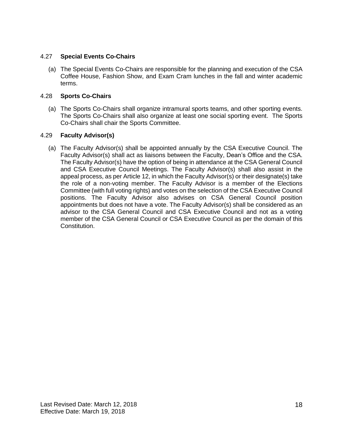# 4.27 **Special Events Co-Chairs**

(a) The Special Events Co-Chairs are responsible for the planning and execution of the CSA Coffee House, Fashion Show, and Exam Cram lunches in the fall and winter academic terms.

# 4.28 **Sports Co-Chairs**

(a) The Sports Co-Chairs shall organize intramural sports teams, and other sporting events. The Sports Co-Chairs shall also organize at least one social sporting event. The Sports Co-Chairs shall chair the Sports Committee.

# 4.29 **Faculty Advisor(s)**

(a) The Faculty Advisor(s) shall be appointed annually by the CSA Executive Council. The Faculty Advisor(s) shall act as liaisons between the Faculty, Dean's Office and the CSA. The Faculty Advisor(s) have the option of being in attendance at the CSA General Council and CSA Executive Council Meetings. The Faculty Advisor(s) shall also assist in the appeal process, as per Article 12, in which the Faculty Advisor(s) or their designate(s) take the role of a non-voting member. The Faculty Advisor is a member of the Elections Committee (with full voting rights) and votes on the selection of the CSA Executive Council positions. The Faculty Advisor also advises on CSA General Council position appointments but does not have a vote. The Faculty Advisor(s) shall be considered as an advisor to the CSA General Council and CSA Executive Council and not as a voting member of the CSA General Council or CSA Executive Council as per the domain of this Constitution.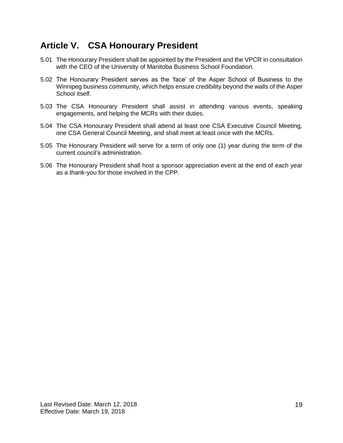# **Article V. CSA Honourary President**

- 5.01 The Honourary President shall be appointed by the President and the VPCR in consultation with the CEO of the University of Manitoba Business School Foundation.
- 5.02 The Honourary President serves as the 'face' of the Asper School of Business to the Winnipeg business community, which helps ensure credibility beyond the walls of the Asper School itself.
- 5.03 The CSA Honourary President shall assist in attending various events, speaking engagements, and helping the MCRs with their duties.
- 5.04 The CSA Honourary President shall attend at least one CSA Executive Council Meeting, one CSA General Council Meeting, and shall meet at least once with the MCRs.
- 5.05 The Honourary President will serve for a term of only one (1) year during the term of the current council's administration.
- 5.06 The Honourary President shall host a sponsor appreciation event at the end of each year as a thank-you for those involved in the CPP.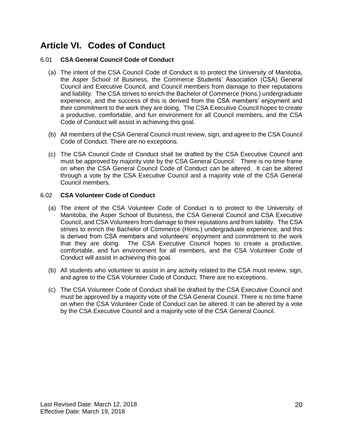# **Article VI. Codes of Conduct**

# 6.01 **CSA General Council Code of Conduct**

- (a) The intent of the CSA Council Code of Conduct is to protect the University of Manitoba, the Asper School of Business, the Commerce Students' Association (CSA) General Council and Executive Council, and Council members from damage to their reputations and liability. The CSA strives to enrich the Bachelor of Commerce (Hons.) undergraduate experience, and the success of this is derived from the CSA members' enjoyment and their commitment to the work they are doing. The CSA Executive Council hopes to create a productive, comfortable, and fun environment for all Council members, and the CSA Code of Conduct will assist in achieving this goal.
- (b) All members of the CSA General Council must review, sign, and agree to the CSA Council Code of Conduct. There are no exceptions.
- (c) The CSA Council Code of Conduct shall be drafted by the CSA Executive Council and must be approved by majority vote by the CSA General Council. There is no time frame on when the CSA General Council Code of Conduct can be altered. It can be altered through a vote by the CSA Executive Council and a majority vote of the CSA General Council members.

# 6.02 **CSA Volunteer Code of Conduct**

- (a) The intent of the CSA Volunteer Code of Conduct is to protect to the University of Manitoba, the Asper School of Business, the CSA General Council and CSA Executive Council, and CSA Volunteers from damage to their reputations and from liability. The CSA strives to enrich the Bachelor of Commerce (Hons.) undergraduate experience, and this is derived from CSA members and volunteers' enjoyment and commitment to the work that they are doing. The CSA Executive Council hopes to create a productive, comfortable, and fun environment for all members, and the CSA Volunteer Code of Conduct will assist in achieving this goal.
- (b) All students who volunteer to assist in any activity related to the CSA must review, sign, and agree to the CSA Volunteer Code of Conduct. There are no exceptions.
- (c) The CSA Volunteer Code of Conduct shall be drafted by the CSA Executive Council and must be approved by a majority vote of the CSA General Council. There is no time frame on when the CSA Volunteer Code of Conduct can be altered. It can be altered by a vote by the CSA Executive Council and a majority vote of the CSA General Council.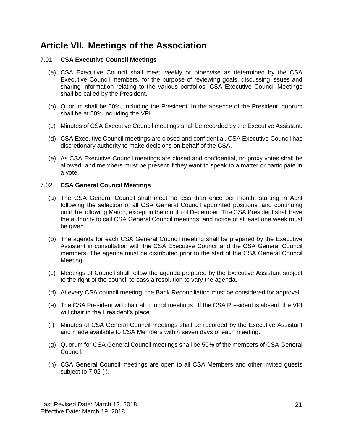# **Article VII. Meetings of the Association**

# 7.01 **CSA Executive Council Meetings**

- (a) CSA Executive Council shall meet weekly or otherwise as determined by the CSA Executive Council members, for the purpose of reviewing goals, discussing issues and sharing information relating to the various portfolios. CSA Executive Council Meetings shall be called by the President.
- (b) Quorum shall be 50%, including the President. In the absence of the President, quorum shall be at 50% including the VPI.
- (c) Minutes of CSA Executive Council meetings shall be recorded by the Executive Assistant.
- (d) CSA Executive Council meetings are closed and confidential. CSA Executive Council has discretionary authority to make decisions on behalf of the CSA.
- (e) As CSA Executive Council meetings are closed and confidential, no proxy votes shall be allowed, and members must be present if they want to speak to a matter or participate in a vote.

#### 7.02 **CSA General Council Meetings**

- (a) The CSA General Council shall meet no less than once per month, starting in April following the selection of all CSA General Council appointed positions, and continuing until the following March, except in the month of December. The CSA President shall have the authority to call CSA General Council meetings, and notice of at least one week must be given.
- (b) The agenda for each CSA General Council meeting shall be prepared by the Executive Assistant in consultation with the CSA Executive Council and the CSA General Council members. The agenda must be distributed prior to the start of the CSA General Council Meeting.
- (c) Meetings of Council shall follow the agenda prepared by the Executive Assistant subject to the right of the council to pass a resolution to vary the agenda.
- (d) At every CSA council meeting, the Bank Reconciliation must be considered for approval.
- (e) The CSA President will chair all council meetings. If the CSA President is absent, the VPI will chair in the President's place.
- (f) Minutes of CSA General Council meetings shall be recorded by the Executive Assistant and made available to CSA Members within seven days of each meeting.
- (g) Quorum for CSA General Council meetings shall be 50% of the members of CSA General Council.
- (h) CSA General Council meetings are open to all CSA Members and other invited guests subject to 7.02 (i).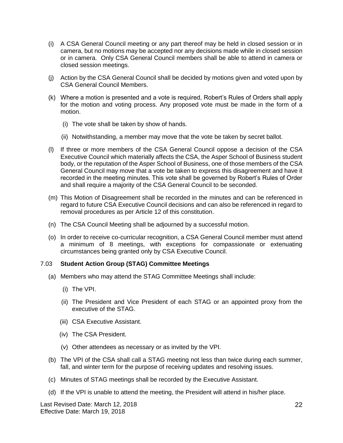- (i) A CSA General Council meeting or any part thereof may be held in closed session or in camera, but no motions may be accepted nor any decisions made while in closed session or in camera. Only CSA General Council members shall be able to attend in camera or closed session meetings.
- (j) Action by the CSA General Council shall be decided by motions given and voted upon by CSA General Council Members.
- (k) Where a motion is presented and a vote is required, Robert's Rules of Orders shall apply for the motion and voting process. Any proposed vote must be made in the form of a motion.
	- (i) The vote shall be taken by show of hands.
	- (ii) Notwithstanding, a member may move that the vote be taken by secret ballot.
- (l) If three or more members of the CSA General Council oppose a decision of the CSA Executive Council which materially affects the CSA, the Asper School of Business student body, or the reputation of the Asper School of Business, one of those members of the CSA General Council may move that a vote be taken to express this disagreement and have it recorded in the meeting minutes. This vote shall be governed by Robert's Rules of Order and shall require a majority of the CSA General Council to be seconded.
- (m) This Motion of Disagreement shall be recorded in the minutes and can be referenced in regard to future CSA Executive Council decisions and can also be referenced in regard to removal procedures as per Article 12 of this constitution.
- (n) The CSA Council Meeting shall be adjourned by a successful motion.
- (o) In order to receive co-curricular recognition, a CSA General Council member must attend a minimum of 8 meetings, with exceptions for compassionate or extenuating circumstances being granted only by CSA Executive Council.

#### 7.03 **Student Action Group (STAG) Committee Meetings**

- (a) Members who may attend the STAG Committee Meetings shall include:
	- (i) The VPI.
	- (ii) The President and Vice President of each STAG or an appointed proxy from the executive of the STAG.
	- (iii) CSA Executive Assistant.
	- (iv) The CSA President.
	- (v) Other attendees as necessary or as invited by the VPI.
- (b) The VPI of the CSA shall call a STAG meeting not less than twice during each summer, fall, and winter term for the purpose of receiving updates and resolving issues.
- (c) Minutes of STAG meetings shall be recorded by the Executive Assistant.
- (d) If the VPI is unable to attend the meeting, the President will attend in his/her place.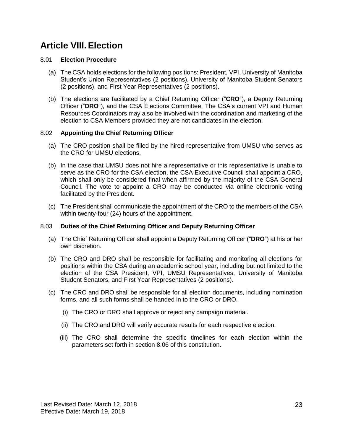# **Article VIII.Election**

# 8.01 **Election Procedure**

- (a) The CSA holds elections for the following positions: President, VPI, University of Manitoba Student's Union Representatives (2 positions), University of Manitoba Student Senators (2 positions), and First Year Representatives (2 positions).
- (b) The elections are facilitated by a Chief Returning Officer ("**CRO**"), a Deputy Returning Officer ("**DRO**"), and the CSA Elections Committee. The CSA's current VPI and Human Resources Coordinators may also be involved with the coordination and marketing of the election to CSA Members provided they are not candidates in the election.

# 8.02 **Appointing the Chief Returning Officer**

- (a) The CRO position shall be filled by the hired representative from UMSU who serves as the CRO for UMSU elections.
- (b) In the case that UMSU does not hire a representative or this representative is unable to serve as the CRO for the CSA election, the CSA Executive Council shall appoint a CRO, which shall only be considered final when affirmed by the majority of the CSA General Council. The vote to appoint a CRO may be conducted via online electronic voting facilitated by the President.
- (c) The President shall communicate the appointment of the CRO to the members of the CSA within twenty-four (24) hours of the appointment.

# 8.03 **Duties of the Chief Returning Officer and Deputy Returning Officer**

- (a) The Chief Returning Officer shall appoint a Deputy Returning Officer ("**DRO**") at his or her own discretion.
- (b) The CRO and DRO shall be responsible for facilitating and monitoring all elections for positions within the CSA during an academic school year, including but not limited to the election of the CSA President, VPI, UMSU Representatives, University of Manitoba Student Senators, and First Year Representatives (2 positions).
- (c) The CRO and DRO shall be responsible for all election documents, including nomination forms, and all such forms shall be handed in to the CRO or DRO.
	- (i) The CRO or DRO shall approve or reject any campaign material.
	- (ii) The CRO and DRO will verify accurate results for each respective election.
	- (iii) The CRO shall determine the specific timelines for each election within the parameters set forth in section 8.06 of this constitution.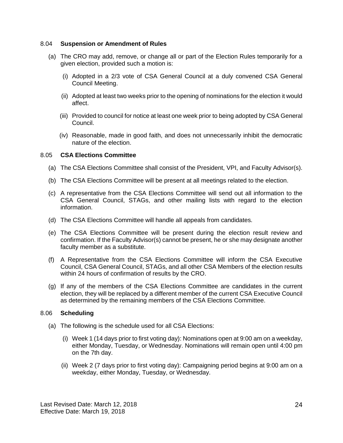#### 8.04 **Suspension or Amendment of Rules**

- (a) The CRO may add, remove, or change all or part of the Election Rules temporarily for a given election, provided such a motion is:
	- (i) Adopted in a 2/3 vote of CSA General Council at a duly convened CSA General Council Meeting.
	- (ii) Adopted at least two weeks prior to the opening of nominations for the election it would affect.
	- (iii) Provided to council for notice at least one week prior to being adopted by CSA General Council.
	- (iv) Reasonable, made in good faith, and does not unnecessarily inhibit the democratic nature of the election.

#### 8.05 **CSA Elections Committee**

- (a) The CSA Elections Committee shall consist of the President, VPI, and Faculty Advisor(s).
- (b) The CSA Elections Committee will be present at all meetings related to the election.
- (c) A representative from the CSA Elections Committee will send out all information to the CSA General Council, STAGs, and other mailing lists with regard to the election information.
- (d) The CSA Elections Committee will handle all appeals from candidates.
- (e) The CSA Elections Committee will be present during the election result review and confirmation. If the Faculty Advisor(s) cannot be present, he or she may designate another faculty member as a substitute.
- (f) A Representative from the CSA Elections Committee will inform the CSA Executive Council, CSA General Council, STAGs, and all other CSA Members of the election results within 24 hours of confirmation of results by the CRO.
- (g) If any of the members of the CSA Elections Committee are candidates in the current election, they will be replaced by a different member of the current CSA Executive Council as determined by the remaining members of the CSA Elections Committee.

#### 8.06 **Scheduling**

- (a) The following is the schedule used for all CSA Elections:
	- (i) Week 1 (14 days prior to first voting day): Nominations open at 9:00 am on a weekday, either Monday, Tuesday, or Wednesday. Nominations will remain open until 4:00 pm on the 7th day.
	- (ii) Week 2 (7 days prior to first voting day): Campaigning period begins at 9:00 am on a weekday, either Monday, Tuesday, or Wednesday.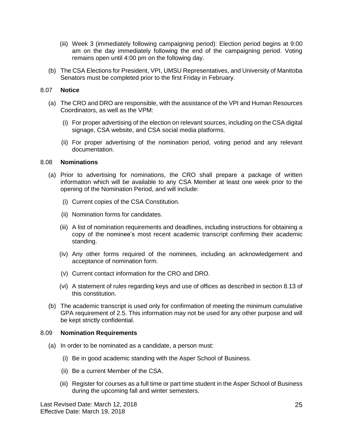- (iii) Week 3 (immediately following campaigning period): Election period begins at 9:00 am on the day immediately following the end of the campaigning period. Voting remains open until 4:00 pm on the following day.
- (b) The CSA Elections for President, VPI, UMSU Representatives, and University of Manitoba Senators must be completed prior to the first Friday in February.

#### 8.07 **Notice**

- (a) The CRO and DRO are responsible, with the assistance of the VPI and Human Resources Coordinators, as well as the VPM:
	- (i) For proper advertising of the election on relevant sources, including on the CSA digital signage, CSA website, and CSA social media platforms.
	- (ii) For proper advertising of the nomination period, voting period and any relevant documentation.

#### 8.08 **Nominations**

- (a) Prior to advertising for nominations, the CRO shall prepare a package of written information which will be available to any CSA Member at least one week prior to the opening of the Nomination Period, and will include:
	- (i) Current copies of the CSA Constitution.
	- (ii) Nomination forms for candidates.
	- (iii) A list of nomination requirements and deadlines, including instructions for obtaining a copy of the nominee's most recent academic transcript confirming their academic standing.
	- (iv) Any other forms required of the nominees, including an acknowledgement and acceptance of nomination form.
	- (v) Current contact information for the CRO and DRO.
	- (vi) A statement of rules regarding keys and use of offices as described in section 8.13 of this constitution.
- (b) The academic transcript is used only for confirmation of meeting the minimum cumulative GPA requirement of 2.5. This information may not be used for any other purpose and will be kept strictly confidential.

#### 8.09 **Nomination Requirements**

- (a) In order to be nominated as a candidate, a person must:
	- (i) Be in good academic standing with the Asper School of Business.
	- (ii) Be a current Member of the CSA.
	- (iii) Register for courses as a full time or part time student in the Asper School of Business during the upcoming fall and winter semesters.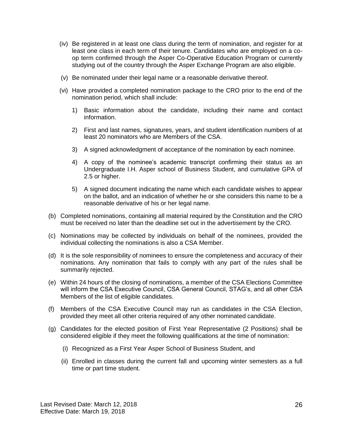- (iv) Be registered in at least one class during the term of nomination, and register for at least one class in each term of their tenure. Candidates who are employed on a coop term confirmed through the Asper Co-Operative Education Program or currently studying out of the country through the Asper Exchange Program are also eligible.
- (v) Be nominated under their legal name or a reasonable derivative thereof.
- (vi) Have provided a completed nomination package to the CRO prior to the end of the nomination period, which shall include:
	- 1) Basic information about the candidate, including their name and contact information.
	- 2) First and last names, signatures, years, and student identification numbers of at least 20 nominators who are Members of the CSA.
	- 3) A signed acknowledgment of acceptance of the nomination by each nominee.
	- 4) A copy of the nominee's academic transcript confirming their status as an Undergraduate I.H. Asper school of Business Student, and cumulative GPA of 2.5 or higher.
	- 5) A signed document indicating the name which each candidate wishes to appear on the ballot, and an indication of whether he or she considers this name to be a reasonable derivative of his or her legal name.
- (b) Completed nominations, containing all material required by the Constitution and the CRO must be received no later than the deadline set out in the advertisement by the CRO.
- (c) Nominations may be collected by individuals on behalf of the nominees, provided the individual collecting the nominations is also a CSA Member.
- (d) It is the sole responsibility of nominees to ensure the completeness and accuracy of their nominations. Any nomination that fails to comply with any part of the rules shall be summarily rejected.
- (e) Within 24 hours of the closing of nominations, a member of the CSA Elections Committee will inform the CSA Executive Council, CSA General Council, STAG's, and all other CSA Members of the list of eligible candidates.
- (f) Members of the CSA Executive Council may run as candidates in the CSA Election, provided they meet all other criteria required of any other nominated candidate.
- (g) Candidates for the elected position of First Year Representative (2 Positions) shall be considered eligible if they meet the following qualifications at the time of nomination:
	- (i) Recognized as a First Year Asper School of Business Student, and
	- (ii) Enrolled in classes during the current fall and upcoming winter semesters as a full time or part time student.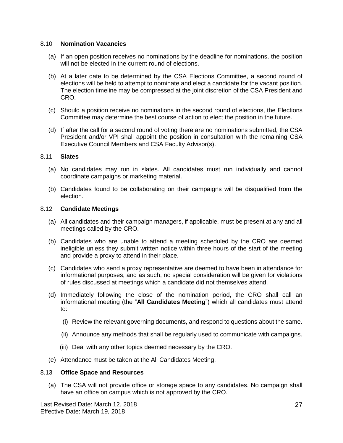#### 8.10 **Nomination Vacancies**

- (a) If an open position receives no nominations by the deadline for nominations, the position will not be elected in the current round of elections.
- (b) At a later date to be determined by the CSA Elections Committee, a second round of elections will be held to attempt to nominate and elect a candidate for the vacant position. The election timeline may be compressed at the joint discretion of the CSA President and CRO.
- (c) Should a position receive no nominations in the second round of elections, the Elections Committee may determine the best course of action to elect the position in the future.
- (d) If after the call for a second round of voting there are no nominations submitted, the CSA President and/or VPI shall appoint the position in consultation with the remaining CSA Executive Council Members and CSA Faculty Advisor(s).

#### 8.11 **Slates**

- (a) No candidates may run in slates. All candidates must run individually and cannot coordinate campaigns or marketing material.
- (b) Candidates found to be collaborating on their campaigns will be disqualified from the election.

#### 8.12 **Candidate Meetings**

- (a) All candidates and their campaign managers, if applicable, must be present at any and all meetings called by the CRO.
- (b) Candidates who are unable to attend a meeting scheduled by the CRO are deemed ineligible unless they submit written notice within three hours of the start of the meeting and provide a proxy to attend in their place.
- (c) Candidates who send a proxy representative are deemed to have been in attendance for informational purposes, and as such, no special consideration will be given for violations of rules discussed at meetings which a candidate did not themselves attend.
- (d) Immediately following the close of the nomination period, the CRO shall call an informational meeting (the "**All Candidates Meeting**") which all candidates must attend to:
	- (i) Review the relevant governing documents, and respond to questions about the same.
	- (ii) Announce any methods that shall be regularly used to communicate with campaigns.
	- (iii) Deal with any other topics deemed necessary by the CRO.
- (e) Attendance must be taken at the All Candidates Meeting.

#### 8.13 **Office Space and Resources**

(a) The CSA will not provide office or storage space to any candidates. No campaign shall have an office on campus which is not approved by the CRO.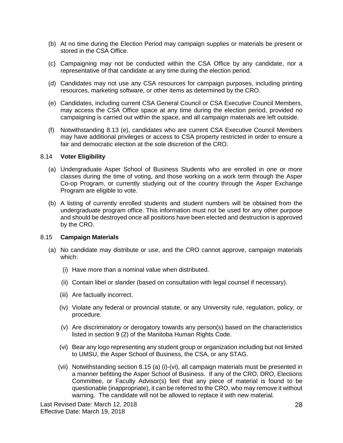- (b) At no time during the Election Period may campaign supplies or materials be present or stored in the CSA Office.
- (c) Campaigning may not be conducted within the CSA Office by any candidate, nor a representative of that candidate at any time during the election period.
- (d) Candidates may not use any CSA resources for campaign purposes, including printing resources, marketing software, or other items as determined by the CRO.
- (e) Candidates, including current CSA General Council or CSA Executive Council Members, may access the CSA Office space at any time during the election period, provided no campaigning is carried out within the space, and all campaign materials are left outside.
- (f) Notwithstanding 8.13 (e), candidates who are current CSA Executive Council Members may have additional privileges or access to CSA property restricted in order to ensure a fair and democratic election at the sole discretion of the CRO.

#### 8.14 **Voter Eligibility**

- (a) Undergraduate Asper School of Business Students who are enrolled in one or more classes during the time of voting, and those working on a work term through the Asper Co-op Program, or currently studying out of the country through the Asper Exchange Program are eligible to vote.
- (b) A listing of currently enrolled students and student numbers will be obtained from the undergraduate program office. This information must not be used for any other purpose and should be destroyed once all positions have been elected and destruction is approved by the CRO.

# 8.15 **Campaign Materials**

- (a) No candidate may distribute or use, and the CRO cannot approve, campaign materials which:
	- (i) Have more than a nominal value when distributed.
	- (ii) Contain libel or slander (based on consultation with legal counsel if necessary).
	- (iii) Are factually incorrect.
	- (iv) Violate any federal or provincial statute, or any University rule, regulation, policy, or procedure.
	- (v) Are discriminatory or derogatory towards any person(s) based on the characteristics listed in section 9 (2) of the Manitoba Human Rights Code.
	- (vi) Bear any logo representing any student group or organization including but not limited to UMSU, the Asper School of Business, the CSA, or any STAG.
	- (vii) Notwithstanding section 8.15 (a) (i)-(vi), all campaign materials must be presented in a manner befitting the Asper School of Business. If any of the CRO, DRO, Elections Committee, or Faculty Advisor(s) feel that any piece of material is found to be questionable (inappropriate), it can be referred to the CRO, who may remove it without warning. The candidate will not be allowed to replace it with new material.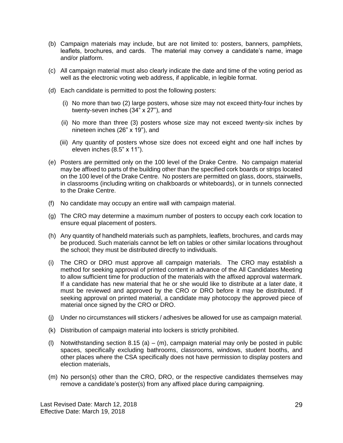- (b) Campaign materials may include, but are not limited to: posters, banners, pamphlets, leaflets, brochures, and cards. The material may convey a candidate's name, image and/or platform.
- (c) All campaign material must also clearly indicate the date and time of the voting period as well as the electronic voting web address, if applicable, in legible format.
- (d) Each candidate is permitted to post the following posters:
	- (i) No more than two (2) large posters, whose size may not exceed thirty-four inches by twenty-seven inches (34" x 27"), and
	- (ii) No more than three (3) posters whose size may not exceed twenty-six inches by nineteen inches (26" x 19"), and
	- (iii) Any quantity of posters whose size does not exceed eight and one half inches by eleven inches (8.5" x 11").
- (e) Posters are permitted only on the 100 level of the Drake Centre. No campaign material may be affixed to parts of the building other than the specified cork boards or strips located on the 100 level of the Drake Centre. No posters are permitted on glass, doors, stairwells, in classrooms (including writing on chalkboards or whiteboards), or in tunnels connected to the Drake Centre.
- (f) No candidate may occupy an entire wall with campaign material.
- (g) The CRO may determine a maximum number of posters to occupy each cork location to ensure equal placement of posters.
- (h) Any quantity of handheld materials such as pamphlets, leaflets, brochures, and cards may be produced. Such materials cannot be left on tables or other similar locations throughout the school; they must be distributed directly to individuals.
- (i) The CRO or DRO must approve all campaign materials. The CRO may establish a method for seeking approval of printed content in advance of the All Candidates Meeting to allow sufficient time for production of the materials with the affixed approval watermark. If a candidate has new material that he or she would like to distribute at a later date, it must be reviewed and approved by the CRO or DRO before it may be distributed. If seeking approval on printed material, a candidate may photocopy the approved piece of material once signed by the CRO or DRO.
- (j) Under no circumstances will stickers / adhesives be allowed for use as campaign material.
- (k) Distribution of campaign material into lockers is strictly prohibited.
- (I) Notwithstanding section 8.15 (a)  $-$  (m), campaign material may only be posted in public spaces, specifically excluding bathrooms, classrooms, windows, student booths, and other places where the CSA specifically does not have permission to display posters and election materials,
- (m) No person(s) other than the CRO, DRO, or the respective candidates themselves may remove a candidate's poster(s) from any affixed place during campaigning.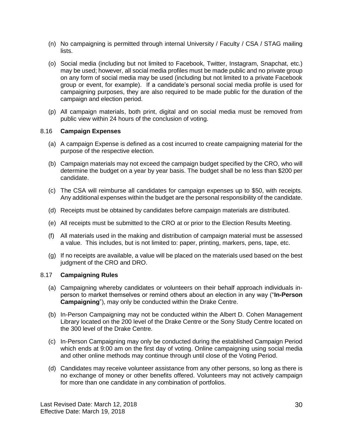- (n) No campaigning is permitted through internal University / Faculty / CSA / STAG mailing lists.
- (o) Social media (including but not limited to Facebook, Twitter, Instagram, Snapchat, etc.) may be used; however, all social media profiles must be made public and no private group on any form of social media may be used (including but not limited to a private Facebook group or event, for example). If a candidate's personal social media profile is used for campaigning purposes, they are also required to be made public for the duration of the campaign and election period.
- (p) All campaign materials, both print, digital and on social media must be removed from public view within 24 hours of the conclusion of voting.

# 8.16 **Campaign Expenses**

- (a) A campaign Expense is defined as a cost incurred to create campaigning material for the purpose of the respective election.
- (b) Campaign materials may not exceed the campaign budget specified by the CRO, who will determine the budget on a year by year basis. The budget shall be no less than \$200 per candidate.
- (c) The CSA will reimburse all candidates for campaign expenses up to \$50, with receipts. Any additional expenses within the budget are the personal responsibility of the candidate.
- (d) Receipts must be obtained by candidates before campaign materials are distributed.
- (e) All receipts must be submitted to the CRO at or prior to the Election Results Meeting.
- (f) All materials used in the making and distribution of campaign material must be assessed a value. This includes, but is not limited to: paper, printing, markers, pens, tape, etc.
- (g) If no receipts are available, a value will be placed on the materials used based on the best judgment of the CRO and DRO.

#### 8.17 **Campaigning Rules**

- (a) Campaigning whereby candidates or volunteers on their behalf approach individuals inperson to market themselves or remind others about an election in any way ("**In-Person Campaigning**"), may only be conducted within the Drake Centre.
- (b) In-Person Campaigning may not be conducted within the Albert D. Cohen Management Library located on the 200 level of the Drake Centre or the Sony Study Centre located on the 300 level of the Drake Centre.
- (c) In-Person Campaigning may only be conducted during the established Campaign Period which ends at 9:00 am on the first day of voting. Online campaigning using social media and other online methods may continue through until close of the Voting Period.
- (d) Candidates may receive volunteer assistance from any other persons, so long as there is no exchange of money or other benefits offered. Volunteers may not actively campaign for more than one candidate in any combination of portfolios.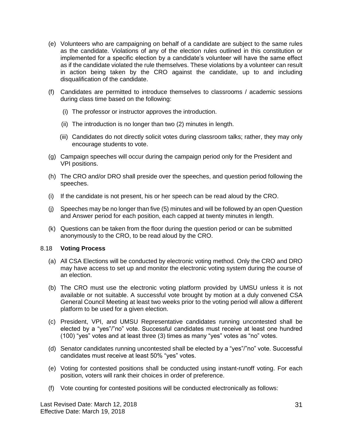- (e) Volunteers who are campaigning on behalf of a candidate are subject to the same rules as the candidate. Violations of any of the election rules outlined in this constitution or implemented for a specific election by a candidate's volunteer will have the same effect as if the candidate violated the rule themselves. These violations by a volunteer can result in action being taken by the CRO against the candidate, up to and including disqualification of the candidate.
- (f) Candidates are permitted to introduce themselves to classrooms / academic sessions during class time based on the following:
	- (i) The professor or instructor approves the introduction.
	- (ii) The introduction is no longer than two (2) minutes in length.
	- (iii) Candidates do not directly solicit votes during classroom talks; rather, they may only encourage students to vote.
- (g) Campaign speeches will occur during the campaign period only for the President and VPI positions.
- (h) The CRO and/or DRO shall preside over the speeches, and question period following the speeches.
- (i) If the candidate is not present, his or her speech can be read aloud by the CRO.
- (j) Speeches may be no longer than five (5) minutes and will be followed by an open Question and Answer period for each position, each capped at twenty minutes in length.
- (k) Questions can be taken from the floor during the question period or can be submitted anonymously to the CRO, to be read aloud by the CRO.

# 8.18 **Voting Process**

- (a) All CSA Elections will be conducted by electronic voting method. Only the CRO and DRO may have access to set up and monitor the electronic voting system during the course of an election.
- (b) The CRO must use the electronic voting platform provided by UMSU unless it is not available or not suitable. A successful vote brought by motion at a duly convened CSA General Council Meeting at least two weeks prior to the voting period will allow a different platform to be used for a given election.
- (c) President, VPI, and UMSU Representative candidates running uncontested shall be elected by a "yes"/"no" vote. Successful candidates must receive at least one hundred (100) "yes" votes and at least three (3) times as many "yes" votes as "no" votes.
- (d) Senator candidates running uncontested shall be elected by a "yes"/"no" vote. Successful candidates must receive at least 50% "yes" votes.
- (e) Voting for contested positions shall be conducted using instant-runoff voting. For each position, voters will rank their choices in order of preference.
- (f) Vote counting for contested positions will be conducted electronically as follows: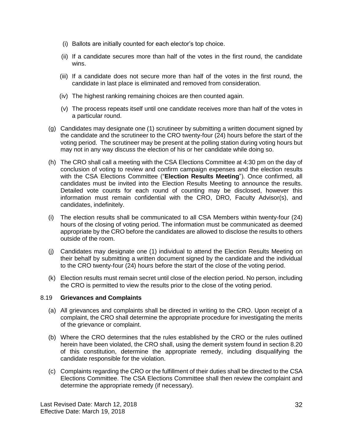- (i) Ballots are initially counted for each elector's top choice.
- (ii) If a candidate secures more than half of the votes in the first round, the candidate wins.
- (iii) If a candidate does not secure more than half of the votes in the first round, the candidate in last place is eliminated and removed from consideration.
- (iv) The highest ranking remaining choices are then counted again.
- (v) The process repeats itself until one candidate receives more than half of the votes in a particular round.
- (g) Candidates may designate one (1) scrutineer by submitting a written document signed by the candidate and the scrutineer to the CRO twenty-four (24) hours before the start of the voting period. The scrutineer may be present at the polling station during voting hours but may not in any way discuss the election of his or her candidate while doing so.
- (h) The CRO shall call a meeting with the CSA Elections Committee at 4:30 pm on the day of conclusion of voting to review and confirm campaign expenses and the election results with the CSA Elections Committee ("**Election Results Meeting**"). Once confirmed, all candidates must be invited into the Election Results Meeting to announce the results. Detailed vote counts for each round of counting may be disclosed, however this information must remain confidential with the CRO, DRO, Faculty Advisor(s), and candidates, indefinitely.
- (i) The election results shall be communicated to all CSA Members within twenty-four (24) hours of the closing of voting period. The information must be communicated as deemed appropriate by the CRO before the candidates are allowed to disclose the results to others outside of the room.
- (j) Candidates may designate one (1) individual to attend the Election Results Meeting on their behalf by submitting a written document signed by the candidate and the individual to the CRO twenty-four (24) hours before the start of the close of the voting period.
- (k) Election results must remain secret until close of the election period. No person, including the CRO is permitted to view the results prior to the close of the voting period.

# 8.19 **Grievances and Complaints**

- (a) All grievances and complaints shall be directed in writing to the CRO. Upon receipt of a complaint, the CRO shall determine the appropriate procedure for investigating the merits of the grievance or complaint.
- (b) Where the CRO determines that the rules established by the CRO or the rules outlined herein have been violated, the CRO shall, using the demerit system found in section 8.20 of this constitution, determine the appropriate remedy, including disqualifying the candidate responsible for the violation.
- (c) Complaints regarding the CRO or the fulfillment of their duties shall be directed to the CSA Elections Committee. The CSA Elections Committee shall then review the complaint and determine the appropriate remedy (if necessary).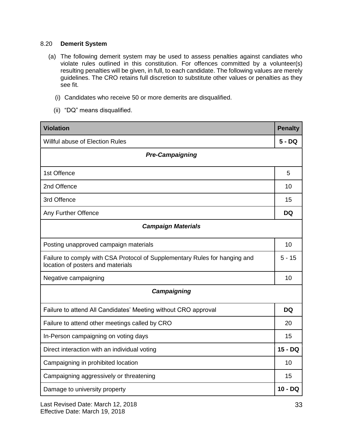# 8.20 **Demerit System**

- (a) The following demerit system may be used to assess penalties against candiates who violate rules outlined in this constitution. For offences committed by a volunteer(s) resulting penalties will be given, in full, to each candidate. The following values are merely guidelines. The CRO retains full discretion to substitute other values or penalties as they see fit.
	- (i) Candidates who receive 50 or more demerits are disqualified.
	- (ii) "DQ" means disqualified.

| <b>Violation</b>                                                                                                | <b>Penalty</b> |  |  |
|-----------------------------------------------------------------------------------------------------------------|----------------|--|--|
| <b>Willful abuse of Election Rules</b>                                                                          | $5 - DQ$       |  |  |
| <b>Pre-Campaigning</b>                                                                                          |                |  |  |
| 1st Offence                                                                                                     | 5              |  |  |
| 2nd Offence                                                                                                     | 10             |  |  |
| 3rd Offence                                                                                                     |                |  |  |
| Any Further Offence                                                                                             | <b>DQ</b>      |  |  |
| <b>Campaign Materials</b>                                                                                       |                |  |  |
| Posting unapproved campaign materials                                                                           |                |  |  |
| Failure to comply with CSA Protocol of Supplementary Rules for hanging and<br>location of posters and materials |                |  |  |
| Negative campaigning                                                                                            |                |  |  |
| <b>Campaigning</b>                                                                                              |                |  |  |
| Failure to attend All Candidates' Meeting without CRO approval                                                  |                |  |  |
| Failure to attend other meetings called by CRO                                                                  |                |  |  |
| In-Person campaigning on voting days                                                                            |                |  |  |
| Direct interaction with an individual voting                                                                    |                |  |  |
| Campaigning in prohibited location                                                                              |                |  |  |
| Campaigning aggressively or threatening                                                                         |                |  |  |
| Damage to university property                                                                                   |                |  |  |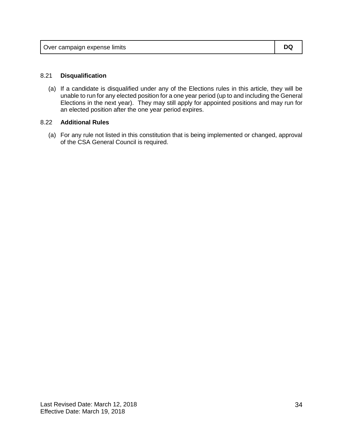#### 8.21 **Disqualification**

(a) If a candidate is disqualified under any of the Elections rules in this article, they will be unable to run for any elected position for a one year period (up to and including the General Elections in the next year). They may still apply for appointed positions and may run for an elected position after the one year period expires.

#### 8.22 **Additional Rules**

(a) For any rule not listed in this constitution that is being implemented or changed, approval of the CSA General Council is required.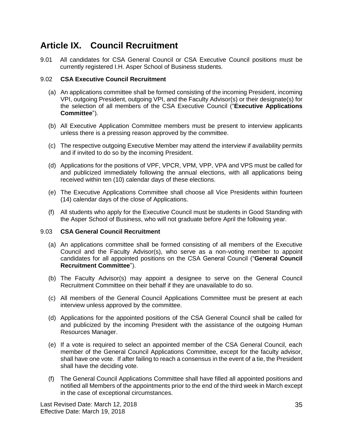# **Article IX. Council Recruitment**

9.01 All candidates for CSA General Council or CSA Executive Council positions must be currently registered I.H. Asper School of Business students.

# 9.02 **CSA Executive Council Recruitment**

- (a) An applications committee shall be formed consisting of the incoming President, incoming VPI, outgoing President, outgoing VPI, and the Faculty Advisor(s) or their designate(s) for the selection of all members of the CSA Executive Council ("**Executive Applications Committee**").
- (b) All Executive Application Committee members must be present to interview applicants unless there is a pressing reason approved by the committee.
- (c) The respective outgoing Executive Member may attend the interview if availability permits and if invited to do so by the incoming President.
- (d) Applications for the positions of VPF, VPCR, VPM, VPP, VPA and VPS must be called for and publicized immediately following the annual elections, with all applications being received within ten (10) calendar days of these elections.
- (e) The Executive Applications Committee shall choose all Vice Presidents within fourteen (14) calendar days of the close of Applications.
- (f) All students who apply for the Executive Council must be students in Good Standing with the Asper School of Business, who will not graduate before April the following year.

# 9.03 **CSA General Council Recruitment**

- (a) An applications committee shall be formed consisting of all members of the Executive Council and the Faculty Advisor(s), who serve as a non-voting member to appoint candidates for all appointed positions on the CSA General Council ("**General Council Recruitment Committee**").
- (b) The Faculty Advisor(s) may appoint a designee to serve on the General Council Recruitment Committee on their behalf if they are unavailable to do so.
- (c) All members of the General Council Applications Committee must be present at each interview unless approved by the committee.
- (d) Applications for the appointed positions of the CSA General Council shall be called for and publicized by the incoming President with the assistance of the outgoing Human Resources Manager.
- (e) If a vote is required to select an appointed member of the CSA General Council, each member of the General Council Applications Committee, except for the faculty advisor, shall have one vote. If after failing to reach a consensus in the event of a tie, the President shall have the deciding vote.
- (f) The General Council Applications Committee shall have filled all appointed positions and notified all Members of the appointments prior to the end of the third week in March except in the case of exceptional circumstances.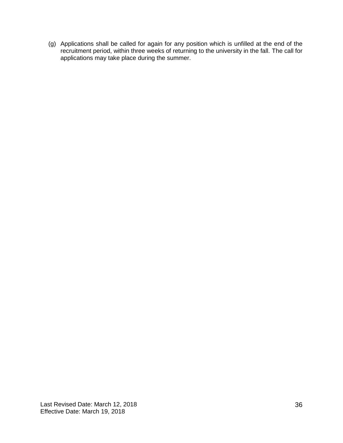(g) Applications shall be called for again for any position which is unfilled at the end of the recruitment period, within three weeks of returning to the university in the fall. The call for applications may take place during the summer.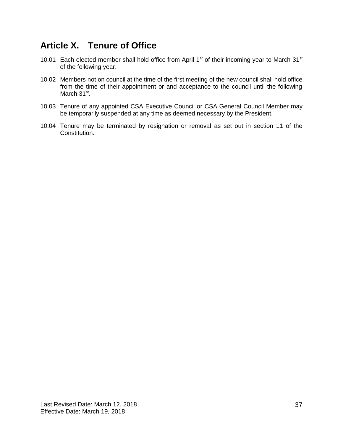# **Article X. Tenure of Office**

- 10.01 Each elected member shall hold office from April 1<sup>st</sup> of their incoming year to March 31<sup>st</sup> of the following year.
- 10.02 Members not on council at the time of the first meeting of the new council shall hold office from the time of their appointment or and acceptance to the council until the following March 31<sup>st</sup>.
- 10.03 Tenure of any appointed CSA Executive Council or CSA General Council Member may be temporarily suspended at any time as deemed necessary by the President.
- 10.04 Tenure may be terminated by resignation or removal as set out in section 11 of the Constitution.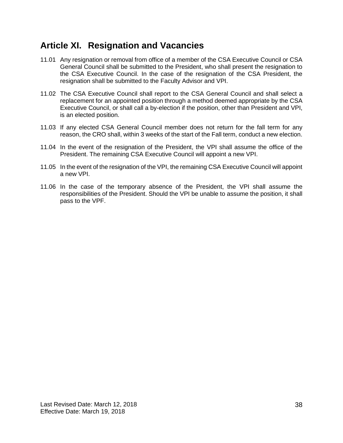# **Article XI. Resignation and Vacancies**

- 11.01 Any resignation or removal from office of a member of the CSA Executive Council or CSA General Council shall be submitted to the President, who shall present the resignation to the CSA Executive Council. In the case of the resignation of the CSA President, the resignation shall be submitted to the Faculty Advisor and VPI.
- 11.02 The CSA Executive Council shall report to the CSA General Council and shall select a replacement for an appointed position through a method deemed appropriate by the CSA Executive Council, or shall call a by-election if the position, other than President and VPI, is an elected position.
- 11.03 If any elected CSA General Council member does not return for the fall term for any reason, the CRO shall, within 3 weeks of the start of the Fall term, conduct a new election.
- 11.04 In the event of the resignation of the President, the VPI shall assume the office of the President. The remaining CSA Executive Council will appoint a new VPI.
- 11.05 In the event of the resignation of the VPI, the remaining CSA Executive Council will appoint a new VPI.
- 11.06 In the case of the temporary absence of the President, the VPI shall assume the responsibilities of the President. Should the VPI be unable to assume the position, it shall pass to the VPF.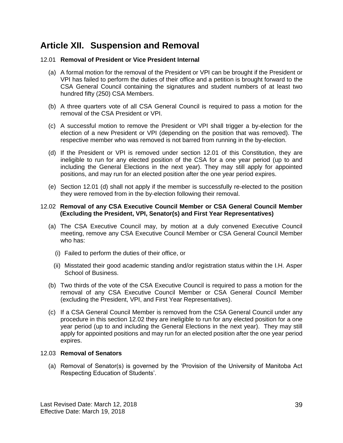# **Article XII. Suspension and Removal**

# 12.01 **Removal of President or Vice President Internal**

- (a) A formal motion for the removal of the President or VPI can be brought if the President or VPI has failed to perform the duties of their office and a petition is brought forward to the CSA General Council containing the signatures and student numbers of at least two hundred fifty (250) CSA Members.
- (b) A three quarters vote of all CSA General Council is required to pass a motion for the removal of the CSA President or VPI.
- (c) A successful motion to remove the President or VPI shall trigger a by-election for the election of a new President or VPI (depending on the position that was removed). The respective member who was removed is not barred from running in the by-election.
- (d) If the President or VPI is removed under section 12.01 of this Constitution, they are ineligible to run for any elected position of the CSA for a one year period (up to and including the General Elections in the next year). They may still apply for appointed positions, and may run for an elected position after the one year period expires.
- (e) Section 12.01 (d) shall not apply if the member is successfully re-elected to the position they were removed from in the by-election following their removal.

#### 12.02 **Removal of any CSA Executive Council Member or CSA General Council Member (Excluding the President, VPI, Senator(s) and First Year Representatives)**

- (a) The CSA Executive Council may, by motion at a duly convened Executive Council meeting, remove any CSA Executive Council Member or CSA General Council Member who has:
	- (i) Failed to perform the duties of their office, or
	- (ii) Misstated their good academic standing and/or registration status within the I.H. Asper School of Business.
- (b) Two thirds of the vote of the CSA Executive Council is required to pass a motion for the removal of any CSA Executive Council Member or CSA General Council Member (excluding the President, VPI, and First Year Representatives).
- (c) If a CSA General Council Member is removed from the CSA General Council under any procedure in this section 12.02 they are ineligible to run for any elected position for a one year period (up to and including the General Elections in the next year). They may still apply for appointed positions and may run for an elected position after the one year period expires.

# 12.03 **Removal of Senators**

(a) Removal of Senator(s) is governed by the 'Provision of the University of Manitoba Act Respecting Education of Students'.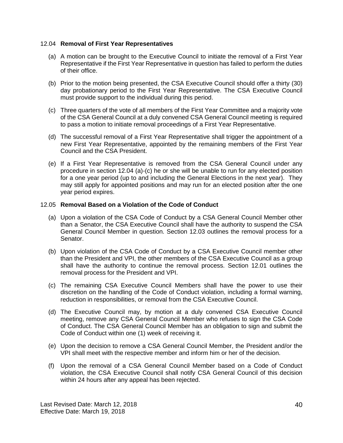#### 12.04 **Removal of First Year Representatives**

- (a) A motion can be brought to the Executive Council to initiate the removal of a First Year Representative if the First Year Representative in question has failed to perform the duties of their office.
- (b) Prior to the motion being presented, the CSA Executive Council should offer a thirty (30) day probationary period to the First Year Representative. The CSA Executive Council must provide support to the individual during this period.
- (c) Three quarters of the vote of all members of the First Year Committee and a majority vote of the CSA General Council at a duly convened CSA General Council meeting is required to pass a motion to initiate removal proceedings of a First Year Representative.
- (d) The successful removal of a First Year Representative shall trigger the appointment of a new First Year Representative, appointed by the remaining members of the First Year Council and the CSA President.
- (e) If a First Year Representative is removed from the CSA General Council under any procedure in section 12.04 (a)-(c) he or she will be unable to run for any elected position for a one year period (up to and including the General Elections in the next year). They may still apply for appointed positions and may run for an elected position after the one year period expires.

#### 12.05 **Removal Based on a Violation of the Code of Conduct**

- (a) Upon a violation of the CSA Code of Conduct by a CSA General Council Member other than a Senator, the CSA Executive Council shall have the authority to suspend the CSA General Council Member in question. Section 12.03 outlines the removal process for a Senator.
- (b) Upon violation of the CSA Code of Conduct by a CSA Executive Council member other than the President and VPI, the other members of the CSA Executive Council as a group shall have the authority to continue the removal process. Section 12.01 outlines the removal process for the President and VPI.
- (c) The remaining CSA Executive Council Members shall have the power to use their discretion on the handling of the Code of Conduct violation, including a formal warning, reduction in responsibilities, or removal from the CSA Executive Council.
- (d) The Executive Council may, by motion at a duly convened CSA Executive Council meeting, remove any CSA General Council Member who refuses to sign the CSA Code of Conduct. The CSA General Council Member has an obligation to sign and submit the Code of Conduct within one (1) week of receiving it.
- (e) Upon the decision to remove a CSA General Council Member, the President and/or the VPI shall meet with the respective member and inform him or her of the decision.
- (f) Upon the removal of a CSA General Council Member based on a Code of Conduct violation, the CSA Executive Council shall notify CSA General Council of this decision within 24 hours after any appeal has been rejected.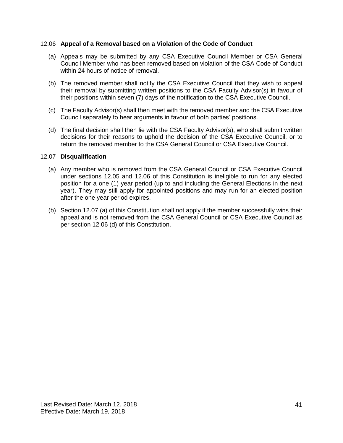#### 12.06 **Appeal of a Removal based on a Violation of the Code of Conduct**

- (a) Appeals may be submitted by any CSA Executive Council Member or CSA General Council Member who has been removed based on violation of the CSA Code of Conduct within 24 hours of notice of removal.
- (b) The removed member shall notify the CSA Executive Council that they wish to appeal their removal by submitting written positions to the CSA Faculty Advisor(s) in favour of their positions within seven (7) days of the notification to the CSA Executive Council.
- (c) The Faculty Advisor(s) shall then meet with the removed member and the CSA Executive Council separately to hear arguments in favour of both parties' positions.
- (d) The final decision shall then lie with the CSA Faculty Advisor(s), who shall submit written decisions for their reasons to uphold the decision of the CSA Executive Council, or to return the removed member to the CSA General Council or CSA Executive Council.

#### 12.07 **Disqualification**

- (a) Any member who is removed from the CSA General Council or CSA Executive Council under sections 12.05 and 12.06 of this Constitution is ineligible to run for any elected position for a one (1) year period (up to and including the General Elections in the next year). They may still apply for appointed positions and may run for an elected position after the one year period expires.
- (b) Section 12.07 (a) of this Constitution shall not apply if the member successfully wins their appeal and is not removed from the CSA General Council or CSA Executive Council as per section 12.06 (d) of this Constitution.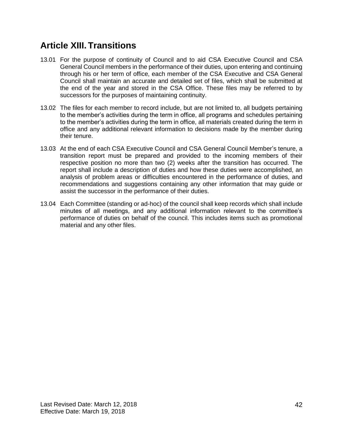# **Article XIII. Transitions**

- 13.01 For the purpose of continuity of Council and to aid CSA Executive Council and CSA General Council members in the performance of their duties, upon entering and continuing through his or her term of office, each member of the CSA Executive and CSA General Council shall maintain an accurate and detailed set of files, which shall be submitted at the end of the year and stored in the CSA Office. These files may be referred to by successors for the purposes of maintaining continuity.
- 13.02 The files for each member to record include, but are not limited to, all budgets pertaining to the member's activities during the term in office, all programs and schedules pertaining to the member's activities during the term in office, all materials created during the term in office and any additional relevant information to decisions made by the member during their tenure.
- 13.03 At the end of each CSA Executive Council and CSA General Council Member's tenure, a transition report must be prepared and provided to the incoming members of their respective position no more than two (2) weeks after the transition has occurred. The report shall include a description of duties and how these duties were accomplished, an analysis of problem areas or difficulties encountered in the performance of duties, and recommendations and suggestions containing any other information that may guide or assist the successor in the performance of their duties.
- 13.04 Each Committee (standing or ad-hoc) of the council shall keep records which shall include minutes of all meetings, and any additional information relevant to the committee's performance of duties on behalf of the council. This includes items such as promotional material and any other files.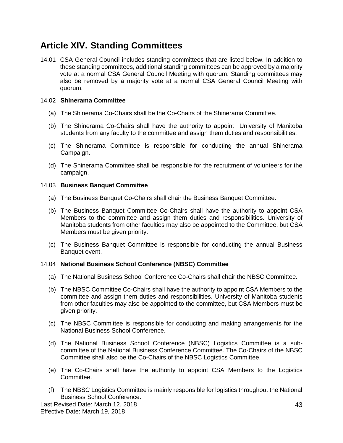# **Article XIV. Standing Committees**

14.01 CSA General Council includes standing committees that are listed below. In addition to these standing committees, additional standing committees can be approved by a majority vote at a normal CSA General Council Meeting with quorum. Standing committees may also be removed by a majority vote at a normal CSA General Council Meeting with quorum.

# 14.02 **Shinerama Committee**

- (a) The Shinerama Co-Chairs shall be the Co-Chairs of the Shinerama Committee.
- (b) The Shinerama Co-Chairs shall have the authority to appoint University of Manitoba students from any faculty to the committee and assign them duties and responsibilities.
- (c) The Shinerama Committee is responsible for conducting the annual Shinerama Campaign.
- (d) The Shinerama Committee shall be responsible for the recruitment of volunteers for the campaign.

# 14.03 **Business Banquet Committee**

- (a) The Business Banquet Co-Chairs shall chair the Business Banquet Committee.
- (b) The Business Banquet Committee Co-Chairs shall have the authority to appoint CSA Members to the committee and assign them duties and responsibilities. University of Manitoba students from other faculties may also be appointed to the Committee, but CSA Members must be given priority.
- (c) The Business Banquet Committee is responsible for conducting the annual Business Banquet event.

# 14.04 **National Business School Conference (NBSC) Committee**

- (a) The National Business School Conference Co-Chairs shall chair the NBSC Committee.
- (b) The NBSC Committee Co-Chairs shall have the authority to appoint CSA Members to the committee and assign them duties and responsibilities. University of Manitoba students from other faculties may also be appointed to the committee, but CSA Members must be given priority.
- (c) The NBSC Committee is responsible for conducting and making arrangements for the National Business School Conference.
- (d) The National Business School Conference (NBSC) Logistics Committee is a subcommittee of the National Business Conference Committee. The Co-Chairs of the NBSC Committee shall also be the Co-Chairs of the NBSC Logistics Committee.
- (e) The Co-Chairs shall have the authority to appoint CSA Members to the Logistics Committee.
- (f) The NBSC Logistics Committee is mainly responsible for logistics throughout the National Business School Conference.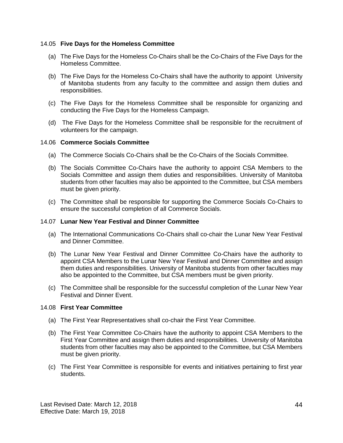#### 14.05 **Five Days for the Homeless Committee**

- (a) The Five Days for the Homeless Co-Chairs shall be the Co-Chairs of the Five Days for the Homeless Committee.
- (b) The Five Days for the Homeless Co-Chairs shall have the authority to appoint University of Manitoba students from any faculty to the committee and assign them duties and responsibilities.
- (c) The Five Days for the Homeless Committee shall be responsible for organizing and conducting the Five Days for the Homeless Campaign.
- (d) The Five Days for the Homeless Committee shall be responsible for the recruitment of volunteers for the campaign.

# 14.06 **Commerce Socials Committee**

- (a) The Commerce Socials Co-Chairs shall be the Co-Chairs of the Socials Committee.
- (b) The Socials Committee Co-Chairs have the authority to appoint CSA Members to the Socials Committee and assign them duties and responsibilities. University of Manitoba students from other faculties may also be appointed to the Committee, but CSA members must be given priority.
- (c) The Committee shall be responsible for supporting the Commerce Socials Co-Chairs to ensure the successful completion of all Commerce Socials.

#### 14.07 **Lunar New Year Festival and Dinner Committee**

- (a) The International Communications Co-Chairs shall co-chair the Lunar New Year Festival and Dinner Committee.
- (b) The Lunar New Year Festival and Dinner Committee Co-Chairs have the authority to appoint CSA Members to the Lunar New Year Festival and Dinner Committee and assign them duties and responsibilities. University of Manitoba students from other faculties may also be appointed to the Committee, but CSA members must be given priority.
- (c) The Committee shall be responsible for the successful completion of the Lunar New Year Festival and Dinner Event.

#### 14.08 **First Year Committee**

- (a) The First Year Representatives shall co-chair the First Year Committee.
- (b) The First Year Committee Co-Chairs have the authority to appoint CSA Members to the First Year Committee and assign them duties and responsibilities. University of Manitoba students from other faculties may also be appointed to the Committee, but CSA Members must be given priority.
- (c) The First Year Committee is responsible for events and initiatives pertaining to first year students.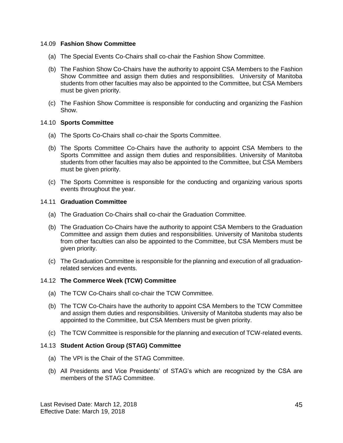#### 14.09 **Fashion Show Committee**

- (a) The Special Events Co-Chairs shall co-chair the Fashion Show Committee.
- (b) The Fashion Show Co-Chairs have the authority to appoint CSA Members to the Fashion Show Committee and assign them duties and responsibilities. University of Manitoba students from other faculties may also be appointed to the Committee, but CSA Members must be given priority.
- (c) The Fashion Show Committee is responsible for conducting and organizing the Fashion Show.

#### 14.10 **Sports Committee**

- (a) The Sports Co-Chairs shall co-chair the Sports Committee.
- (b) The Sports Committee Co-Chairs have the authority to appoint CSA Members to the Sports Committee and assign them duties and responsibilities. University of Manitoba students from other faculties may also be appointed to the Committee, but CSA Members must be given priority.
- (c) The Sports Committee is responsible for the conducting and organizing various sports events throughout the year.

#### 14.11 **Graduation Committee**

- (a) The Graduation Co-Chairs shall co-chair the Graduation Committee.
- (b) The Graduation Co-Chairs have the authority to appoint CSA Members to the Graduation Committee and assign them duties and responsibilities. University of Manitoba students from other faculties can also be appointed to the Committee, but CSA Members must be given priority.
- (c) The Graduation Committee is responsible for the planning and execution of all graduationrelated services and events.

# 14.12 **The Commerce Week (TCW) Committee**

- (a) The TCW Co-Chairs shall co-chair the TCW Committee.
- (b) The TCW Co-Chairs have the authority to appoint CSA Members to the TCW Committee and assign them duties and responsibilities. University of Manitoba students may also be appointed to the Committee, but CSA Members must be given priority.
- (c) The TCW Committee is responsible for the planning and execution of TCW-related events.

# 14.13 **Student Action Group (STAG) Committee**

- (a) The VPI is the Chair of the STAG Committee.
- (b) All Presidents and Vice Presidents' of STAG's which are recognized by the CSA are members of the STAG Committee.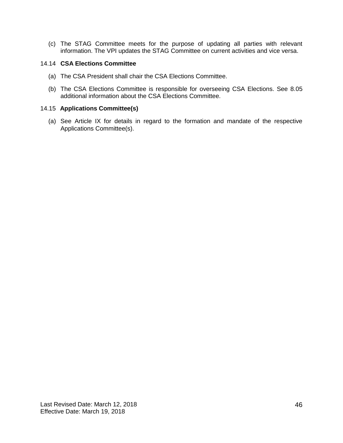(c) The STAG Committee meets for the purpose of updating all parties with relevant information. The VPI updates the STAG Committee on current activities and vice versa.

#### 14.14 **CSA Elections Committee**

- (a) The CSA President shall chair the CSA Elections Committee.
- (b) The CSA Elections Committee is responsible for overseeing CSA Elections. See 8.05 additional information about the CSA Elections Committee.

# 14.15 **Applications Committee(s)**

(a) See Article IX for details in regard to the formation and mandate of the respective Applications Committee(s).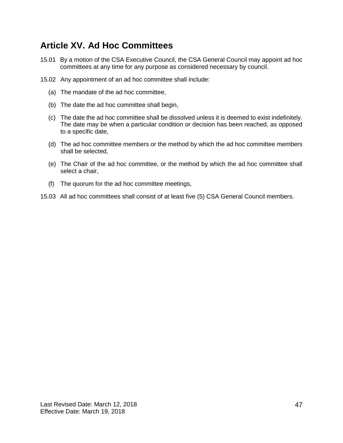# **Article XV. Ad Hoc Committees**

- 15.01 By a motion of the CSA Executive Council, the CSA General Council may appoint ad hoc committees at any time for any purpose as considered necessary by council.
- 15.02 Any appointment of an ad hoc committee shall include:
	- (a) The mandate of the ad hoc committee,
	- (b) The date the ad hoc committee shall begin,
	- (c) The date the ad hoc committee shall be dissolved unless it is deemed to exist indefinitely. The date may be when a particular condition or decision has been reached, as opposed to a specific date,
	- (d) The ad hoc committee members or the method by which the ad hoc committee members shall be selected,
	- (e) The Chair of the ad hoc committee, or the method by which the ad hoc committee shall select a chair,
	- (f) The quorum for the ad hoc committee meetings,
- 15.03 All ad hoc committees shall consist of at least five (5) CSA General Council members.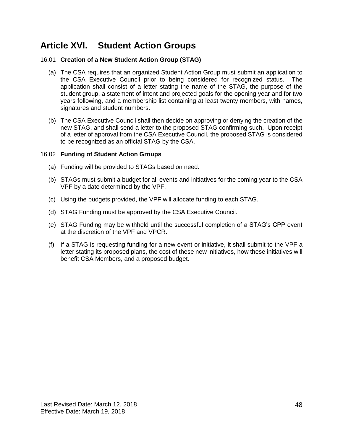# **Article XVI. Student Action Groups**

# 16.01 **Creation of a New Student Action Group (STAG)**

- (a) The CSA requires that an organized Student Action Group must submit an application to the CSA Executive Council prior to being considered for recognized status. The application shall consist of a letter stating the name of the STAG, the purpose of the student group, a statement of intent and projected goals for the opening year and for two years following, and a membership list containing at least twenty members, with names, signatures and student numbers.
- (b) The CSA Executive Council shall then decide on approving or denying the creation of the new STAG, and shall send a letter to the proposed STAG confirming such. Upon receipt of a letter of approval from the CSA Executive Council, the proposed STAG is considered to be recognized as an official STAG by the CSA.

# 16.02 **Funding of Student Action Groups**

- (a) Funding will be provided to STAGs based on need.
- (b) STAGs must submit a budget for all events and initiatives for the coming year to the CSA VPF by a date determined by the VPF.
- (c) Using the budgets provided, the VPF will allocate funding to each STAG.
- (d) STAG Funding must be approved by the CSA Executive Council.
- (e) STAG Funding may be withheld until the successful completion of a STAG's CPP event at the discretion of the VPF and VPCR.
- (f) If a STAG is requesting funding for a new event or initiative, it shall submit to the VPF a letter stating its proposed plans, the cost of these new initiatives, how these initiatives will benefit CSA Members, and a proposed budget.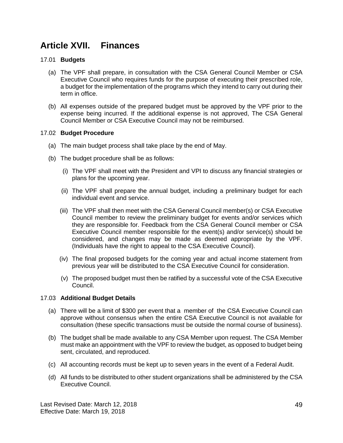# **Article XVII. Finances**

# 17.01 **Budgets**

- (a) The VPF shall prepare, in consultation with the CSA General Council Member or CSA Executive Council who requires funds for the purpose of executing their prescribed role, a budget for the implementation of the programs which they intend to carry out during their term in office.
- (b) All expenses outside of the prepared budget must be approved by the VPF prior to the expense being incurred. If the additional expense is not approved, The CSA General Council Member or CSA Executive Council may not be reimbursed.

# 17.02 **Budget Procedure**

- (a) The main budget process shall take place by the end of May.
- (b) The budget procedure shall be as follows:
	- (i) The VPF shall meet with the President and VPI to discuss any financial strategies or plans for the upcoming year.
	- (ii) The VPF shall prepare the annual budget, including a preliminary budget for each individual event and service.
	- (iii) The VPF shall then meet with the CSA General Council member(s) or CSA Executive Council member to review the preliminary budget for events and/or services which they are responsible for. Feedback from the CSA General Council member or CSA Executive Council member responsible for the event(s) and/or service(s) should be considered, and changes may be made as deemed appropriate by the VPF. (Individuals have the right to appeal to the CSA Executive Council).
	- (iv) The final proposed budgets for the coming year and actual income statement from previous year will be distributed to the CSA Executive Council for consideration.
	- (v) The proposed budget must then be ratified by a successful vote of the CSA Executive Council.

#### 17.03 **Additional Budget Details**

- (a) There will be a limit of \$300 per event that a member of the CSA Executive Council can approve without consensus when the entire CSA Executive Council is not available for consultation (these specific transactions must be outside the normal course of business).
- (b) The budget shall be made available to any CSA Member upon request. The CSA Member must make an appointment with the VPF to review the budget, as opposed to budget being sent, circulated, and reproduced.
- (c) All accounting records must be kept up to seven years in the event of a Federal Audit.
- (d) All funds to be distributed to other student organizations shall be administered by the CSA Executive Council.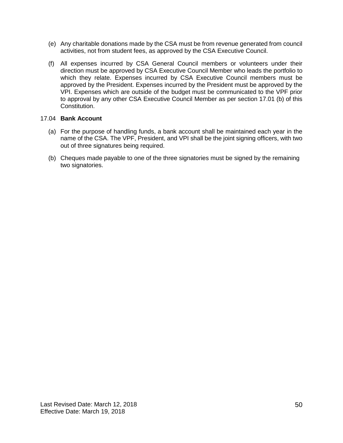- (e) Any charitable donations made by the CSA must be from revenue generated from council activities, not from student fees, as approved by the CSA Executive Council.
- (f) All expenses incurred by CSA General Council members or volunteers under their direction must be approved by CSA Executive Council Member who leads the portfolio to which they relate. Expenses incurred by CSA Executive Council members must be approved by the President. Expenses incurred by the President must be approved by the VPI. Expenses which are outside of the budget must be communicated to the VPF prior to approval by any other CSA Executive Council Member as per section 17.01 (b) of this Constitution.

#### 17.04 **Bank Account**

- (a) For the purpose of handling funds, a bank account shall be maintained each year in the name of the CSA. The VPF, President, and VPI shall be the joint signing officers, with two out of three signatures being required.
- (b) Cheques made payable to one of the three signatories must be signed by the remaining two signatories.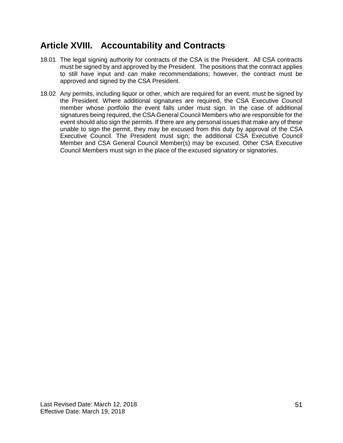# **Article XVIII. Accountability and Contracts**

- 18.01 The legal signing authority for contracts of the CSA is the President. All CSA contracts must be signed by and approved by the President. The positions that the contract applies to still have input and can make recommendations; however, the contract must be approved and signed by the CSA President.
- 18.02 Any permits, including liquor or other, which are required for an event, must be signed by the President. Where additional signatures are required, the CSA Executive Council member whose portfolio the event falls under must sign. In the case of additional signatures being required, the CSA General Council Members who are responsible for the event should also sign the permits. If there are any personal issues that make any of these unable to sign the permit, they may be excused from this duty by approval of the CSA Executive Council. The President must sign; the additional CSA Executive Council Member and CSA General Council Member(s) may be excused. Other CSA Executive Council Members must sign in the place of the excused signatory or signatories.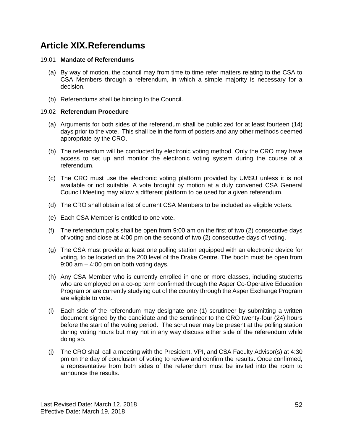# **Article XIX.Referendums**

# 19.01 **Mandate of Referendums**

- (a) By way of motion, the council may from time to time refer matters relating to the CSA to CSA Members through a referendum, in which a simple majority is necessary for a decision.
- (b) Referendums shall be binding to the Council.

# 19.02 **Referendum Procedure**

- (a) Arguments for both sides of the referendum shall be publicized for at least fourteen (14) days prior to the vote. This shall be in the form of posters and any other methods deemed appropriate by the CRO.
- (b) The referendum will be conducted by electronic voting method. Only the CRO may have access to set up and monitor the electronic voting system during the course of a referendum.
- (c) The CRO must use the electronic voting platform provided by UMSU unless it is not available or not suitable. A vote brought by motion at a duly convened CSA General Council Meeting may allow a different platform to be used for a given referendum.
- (d) The CRO shall obtain a list of current CSA Members to be included as eligible voters.
- (e) Each CSA Member is entitled to one vote.
- (f) The referendum polls shall be open from 9:00 am on the first of two (2) consecutive days of voting and close at 4:00 pm on the second of two (2) consecutive days of voting.
- (g) The CSA must provide at least one polling station equipped with an electronic device for voting, to be located on the 200 level of the Drake Centre. The booth must be open from 9:00 am – 4:00 pm on both voting days.
- (h) Any CSA Member who is currently enrolled in one or more classes, including students who are employed on a co-op term confirmed through the Asper Co-Operative Education Program or are currently studying out of the country through the Asper Exchange Program are eligible to vote.
- (i) Each side of the referendum may designate one (1) scrutineer by submitting a written document signed by the candidate and the scrutineer to the CRO twenty-four (24) hours before the start of the voting period. The scrutineer may be present at the polling station during voting hours but may not in any way discuss either side of the referendum while doing so.
- (j) The CRO shall call a meeting with the President, VPI, and CSA Faculty Advisor(s) at 4:30 pm on the day of conclusion of voting to review and confirm the results. Once confirmed, a representative from both sides of the referendum must be invited into the room to announce the results.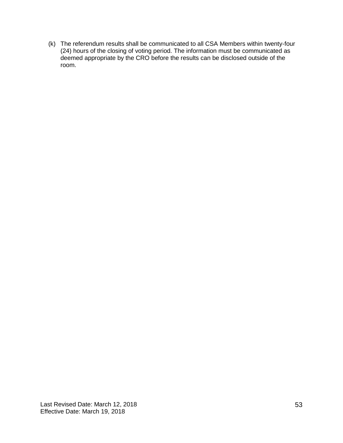(k) The referendum results shall be communicated to all CSA Members within twenty-four (24) hours of the closing of voting period. The information must be communicated as deemed appropriate by the CRO before the results can be disclosed outside of the room.